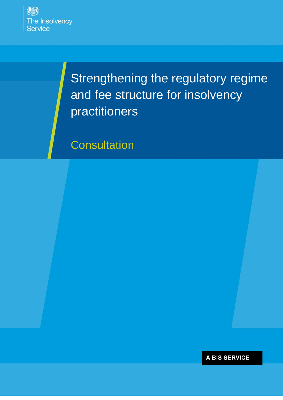

Strengthening the regulatory regime and fee structure for insolvency practitioners

**Consultation** 

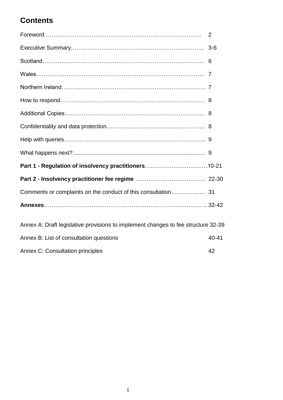# **Contents**

|                                                                                   | 2     |
|-----------------------------------------------------------------------------------|-------|
|                                                                                   | $3-6$ |
|                                                                                   | 6     |
|                                                                                   |       |
|                                                                                   |       |
|                                                                                   |       |
|                                                                                   |       |
|                                                                                   |       |
|                                                                                   |       |
|                                                                                   |       |
| Part 1 - Regulation of insolvency practitioners10-21                              |       |
|                                                                                   |       |
|                                                                                   |       |
|                                                                                   |       |
| Annex A: Draft legislative provisions to implement changes to fee structure 32-39 |       |
| Annex B: List of consultation questions                                           | 40-41 |
| <b>Annex C: Consultation principles</b>                                           | 42    |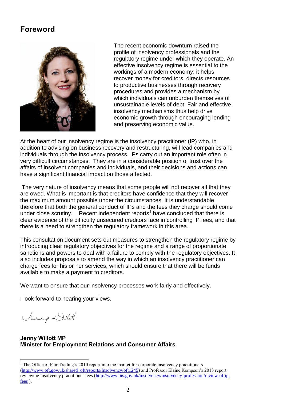# **Foreword**



The recent economic downturn raised the profile of insolvency professionals and the regulatory regime under which they operate. An effective insolvency regime is essential to the workings of a modern economy; it helps recover money for creditors, directs resources to productive businesses through recovery procedures and provides a mechanism by which individuals can unburden themselves of unsustainable levels of debt. Fair and effective insolvency mechanisms thus help drive economic growth through encouraging lending and preserving economic value.

At the heart of our insolvency regime is the insolvency practitioner (IP) who, in addition to advising on business recovery and restructuring, will lead companies and individuals through the insolvency process. IPs carry out an important role often in very difficult circumstances. They are in a considerable position of trust over the affairs of insolvent companies and individuals, and their decisions and actions can have a significant financial impact on those affected.

The very nature of insolvency means that some people will not recover all that they are owed. What is important is that creditors have confidence that they will recover the maximum amount possible under the circumstances. It is understandable therefore that both the general conduct of IPs and the fees they charge should come under close scrutiny. Recent independent reports<sup>1</sup> have concluded that there is clear evidence of the difficulty unsecured creditors face in controlling IP fees, and that there is a need to strengthen the regulatory framework in this area.

This consultation document sets out measures to strengthen the regulatory regime by introducing clear regulatory objectives for the regime and a range of proportionate sanctions and powers to deal with a failure to comply with the regulatory objectives. It also includes proposals to amend the way in which an insolvency practitioner can charge fees for his or her services, which should ensure that there will be funds available to make a payment to creditors.

We want to ensure that our insolvency processes work fairly and effectively.

I look forward to hearing your views.

Jeany Dilott

 $\overline{a}$ 

### **Jenny Willott MP Minister for Employment Relations and Consumer Affairs**

 $<sup>1</sup>$  The Office of Fair Trading's 2010 report into the market for corporate insolvency practitioners</sup> [\(http://www.oft.gov.uk/shared\\_oft/reports/Insolvency/oft1245\)](http://www.oft.gov.uk/shared_oft/reports/Insolvency/oft1245) and Professor Elaine Kempson's 2013 report reviewing insolvency practitioner fees [\(http://www.bis.gov.uk/insolvency/insolvency-profession/review-of-ip](http://www.bis.gov.uk/insolvency/insolvency-profession/review-of-ip-fees)[fees](http://www.bis.gov.uk/insolvency/insolvency-profession/review-of-ip-fees) ).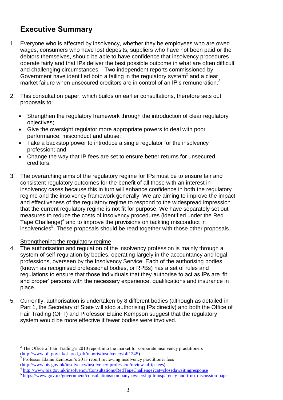# **Executive Summary**

- 1. Everyone who is affected by insolvency, whether they be employees who are owed wages, consumers who have lost deposits, suppliers who have not been paid or the debtors themselves, should be able to have confidence that insolvency procedures operate fairly and that IPs deliver the best possible outcome in what are often difficult and challenging circumstances. Two independent reports commissioned by Government have identified both a failing in the regulatory system<sup>2</sup> and a clear market failure when unsecured creditors are in control of an IP's remuneration.<sup>3</sup>
- 2. This consultation paper, which builds on earlier consultations, therefore sets out proposals to:
	- Strengthen the regulatory framework through the introduction of clear regulatory objectives;
	- Give the oversight regulator more appropriate powers to deal with poor performance, misconduct and abuse;
	- Take a backstop power to introduce a single regulator for the insolvency profession; and
	- Change the way that IP fees are set to ensure better returns for unsecured creditors.
- 3. The overarching aims of the regulatory regime for IPs must be to ensure fair and consistent regulatory outcomes for the benefit of all those with an interest in insolvency cases because this in turn will enhance confidence in both the regulatory regime and the insolvency framework generally. We are aiming to improve the impact and effectiveness of the regulatory regime to respond to the widespread impression that the current regulatory regime is not fit for purpose. We have separately set out measures to reduce the costs of insolvency procedures (identified under the Red Tape Challenge) $4$  and to improve the provisions on tackling misconduct in insolvencies<sup>5</sup>. These proposals should be read together with those other proposals.

# Strengthening the regulatory regime

- 4. The authorisation and regulation of the insolvency profession is mainly through a system of self-regulation by bodies, operating largely in the accountancy and legal professions, overseen by the Insolvency Service. Each of the authorising bodies (known as recognised professional bodies, or RPBs) has a set of rules and regulations to ensure that those individuals that they authorise to act as IPs are 'fit and proper' persons with the necessary experience, qualifications and insurance in place.
- 5. Currently, authorisation is undertaken by 8 different bodies (although as detailed in Part 1, the Secretary of State will stop authorising IPs directly) and both the Office of Fair Trading (OFT) and Professor Elaine Kempson suggest that the regulatory system would be more effective if fewer bodies were involved.

 $\overline{a}$  $2^2$  The Office of Fair Trading's 2010 report into the market for corporate insolvency practitioners [\(http://www.oft.gov.uk/shared\\_oft/reports/Insolvency/oft1245\)](http://www.oft.gov.uk/shared_oft/reports/Insolvency/oft1245)

<sup>3</sup> Professor Elaine Kempson's 2013 report reviewing insolvency practitioner fees

[<sup>\(</sup>http://www.bis.gov.uk/insolvency/insolvency-profession/review-of-ip-fees\)](http://www.bis.gov.uk/insolvency/insolvency-profession/review-of-ip-fees).

<sup>&</sup>lt;sup>4</sup> <http://www.bis.gov.uk/insolvency/Consultations/RedTapeChallenge?cat=closedawaitingresponse>

<sup>&</sup>lt;sup>5</sup> <https://www.gov.uk/government/consultations/company-ownership-transparency-and-trust-discussion-paper>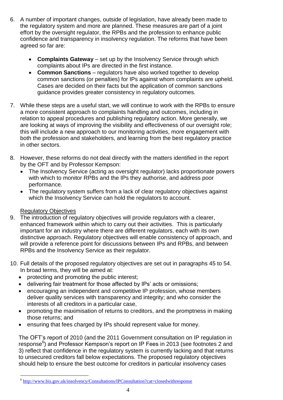- 6. A number of important changes, outside of legislation, have already been made to the regulatory system and more are planned. These measures are part of a joint effort by the oversight regulator, the RPBs and the profession to enhance public confidence and transparency in insolvency regulation. The reforms that have been agreed so far are:
	- **Complaints Gateway** set up by the Insolvency Service through which complaints about IPs are directed in the first instance.
	- **Common Sanctions** regulators have also worked together to develop common sanctions (or penalties) for IPs against whom complaints are upheld. Cases are decided on their facts but the application of common sanctions guidance provides greater consistency in regulatory outcomes.
- 7. While these steps are a useful start, we will continue to work with the RPBs to ensure a more consistent approach to complaints handling and outcomes, including in relation to appeal procedures and publishing regulatory action. More generally, we are looking at ways of improving the visibility and effectiveness of our oversight role; this will include a new approach to our monitoring activities, more engagement with both the profession and stakeholders, and learning from the best regulatory practice in other sectors.
- 8. However, these reforms do not deal directly with the matters identified in the report by the OFT and by Professor Kempson:
	- The Insolvency Service (acting as oversight regulator) lacks proportionate powers with which to monitor RPBs and the IPs they authorise, and address poor performance.
	- The regulatory system suffers from a lack of clear regulatory objectives against which the Insolvency Service can hold the regulators to account.

# Regulatory Objectives

- 9. The introduction of regulatory objectives will provide regulators with a clearer, enhanced framework within which to carry out their activities. This is particularly important for an industry where there are different regulators, each with its own distinctive approach. Regulatory objectives will enable consistency of approach, and will provide a reference point for discussions between IPs and RPBs, and between RPBs and the Insolvency Service as their regulator.
- 10. Full details of the proposed regulatory objectives are set out in paragraphs 45 to 54. In broad terms, they will be aimed at:
	- protecting and promoting the public interest;
	- delivering fair treatment for those affected by IPs' acts or omissions;
	- encouraging an independent and competitive IP profession, whose members deliver quality services with transparency and integrity; and who consider the interests of all creditors in a particular case,
	- promoting the maximisation of returns to creditors, and the promptness in making those returns; and
	- ensuring that fees charged by IPs should represent value for money.

The OFT's report of 2010 (and the 2011 Government consultation on IP regulation in response<sup>6</sup>) and Professor Kempson's report on IP Fees in 2013 (see footnotes 2 and 3) reflect that confidence in the regulatory system is currently lacking and that returns to unsecured creditors fall below expectations. The proposed regulatory objectives should help to ensure the best outcome for creditors in particular insolvency cases

 6 <http://www.bis.gov.uk/insolvency/Consultations/IPConsultation?cat=closedwithresponse>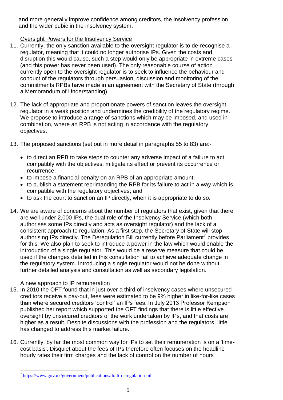and more generally improve confidence among creditors, the insolvency profession and the wider pubic in the insolvency system.

# Oversight Powers for the Insolvency Service

- 11. Currently, the only sanction available to the oversight regulator is to de-recognise a regulator, meaning that it could no longer authorise IPs. Given the costs and disruption this would cause, such a step would only be appropriate in extreme cases (and this power has never been used). The only reasonable course of action currently open to the oversight regulator is to seek to influence the behaviour and conduct of the regulators through persuasion, discussion and monitoring of the commitments RPBs have made in an agreement with the Secretary of State (through a Memorandum of Understanding).
- 12. The lack of appropriate and proportionate powers of sanction leaves the oversight regulator in a weak position and undermines the credibility of the regulatory regime. We propose to introduce a range of sanctions which may be imposed, and used in combination, where an RPB is not acting in accordance with the regulatory objectives.
- 13. The proposed sanctions (set out in more detail in paragraphs 55 to 83) are:-
	- to direct an RPB to take steps to counter any adverse impact of a failure to act compatibly with the objectives, mitigate its effect or prevent its occurrence or recurrence;
	- to impose a financial penalty on an RPB of an appropriate amount;
	- to publish a statement reprimanding the RPB for its failure to act in a way which is compatible with the regulatory objectives; and
	- to ask the court to sanction an IP directly, when it is appropriate to do so.
- 14. We are aware of concerns about the number of regulators that exist, given that there are well under 2,000 IPs, the dual role of the Insolvency Service (which both authorises some IPs directly and acts as oversight regulator) and the lack of a consistent approach to regulation. As a first step, the Secretary of State will stop authorising IPs directly. The Deregulation Bill currently before Parliament<sup>7</sup> provides for this. We also plan to seek to introduce a power in the law which would enable the introduction of a single regulator. This would be a reserve measure that could be used if the changes detailed in this consultation fail to achieve adequate change in the regulatory system. Introducing a single regulator would not be done without further detailed analysis and consultation as well as secondary legislation.

# A new approach to IP remuneration

- 15. In 2010 the OFT found that in just over a third of insolvency cases where unsecured creditors receive a pay-out, fees were estimated to be 9% higher in like-for-like cases than where secured creditors 'control' an IPs fees. In July 2013 Professor Kempson published her report which supported the OFT findings that there is little effective oversight by unsecured creditors of the work undertaken by IPs, and that costs are higher as a result. Despite discussions with the profession and the regulators, little has changed to address this market failure.
- 16. Currently, by far the most common way for IPs to set their remuneration is on a 'timecost basis'. Disquiet about the fees of IPs therefore often focuses on the headline hourly rates their firm charges and the lack of control on the number of hours

 $\overline{a}$ <sup>7</sup> <https://www.gov.uk/government/publications/draft-deregulation-bill>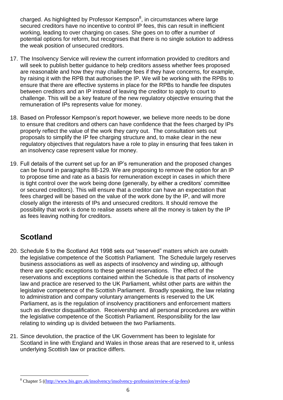charged. As highlighted by Professor Kempson<sup>8</sup>, in circumstances where large secured creditors have no incentive to control IP fees, this can result in inefficient working, leading to over charging on cases. She goes on to offer a number of potential options for reform, but recognises that there is no single solution to address the weak position of unsecured creditors.

- 17. The Insolvency Service will review the current information provided to creditors and will seek to publish better guidance to help creditors assess whether fees proposed are reasonable and how they may challenge fees if they have concerns, for example, by raising it with the RPB that authorises the IP. We will be working with the RPBs to ensure that there are effective systems in place for the RPBs to handle fee disputes between creditors and an IP instead of leaving the creditor to apply to court to challenge. This will be a key feature of the new regulatory objective ensuring that the remuneration of IPs represents value for money.
- 18. Based on Professor Kempson's report however, we believe more needs to be done to ensure that creditors and others can have confidence that the fees charged by IPs properly reflect the value of the work they carry out. The consultation sets out proposals to simplify the IP fee charging structure and, to make clear in the new regulatory objectives that regulators have a role to play in ensuring that fees taken in an insolvency case represent value for money.
- 19. Full details of the current set up for an IP's remuneration and the proposed changes can be found in paragraphs 88-129. We are proposing to remove the option for an IP to propose time and rate as a basis for remuneration except in cases in which there is tight control over the work being done (generally, by either a creditors' committee or secured creditors). This will ensure that a creditor can have an expectation that fees charged will be based on the value of the work done by the IP, and will more closely align the interests of IPs and unsecured creditors. It should remove the possibility that work is done to realise assets where all the money is taken by the IP as fees leaving nothing for creditors.

# **Scotland**

- 20. Schedule 5 to the Scotland Act 1998 sets out "reserved" matters which are outwith the legislative competence of the Scottish Parliament. The Schedule largely reserves business associations as well as aspects of insolvency and winding up, although there are specific exceptions to these general reservations. The effect of the reservations and exceptions contained within the Schedule is that parts of insolvency law and practice are reserved to the UK Parliament, whilst other parts are within the legislative competence of the Scottish Parliament. Broadly speaking, the law relating to administration and company voluntary arrangements is reserved to the UK Parliament, as is the regulation of insolvency practitioners and enforcement matters such as director disqualification. Receivership and all personal procedures are within the legislative competence of the Scottish Parliament. Responsibility for the law relating to winding up is divided between the two Parliaments.
- 21. Since devolution, the practice of the UK Government has been to legislate for Scotland in line with England and Wales in those areas that are reserved to it, unless underlying Scottish law or practice differs.

 $\overline{a}$ <sup>8</sup> Chapter 5 ([\(http://www.bis.gov.uk/insolvency/insolvency-profession/review-of-ip-fees\)](http://www.bis.gov.uk/insolvency/insolvency-profession/review-of-ip-fees)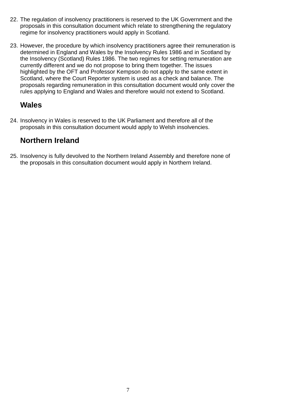- 22. The regulation of insolvency practitioners is reserved to the UK Government and the proposals in this consultation document which relate to strengthening the regulatory regime for insolvency practitioners would apply in Scotland.
- 23. However, the procedure by which insolvency practitioners agree their remuneration is determined in England and Wales by the Insolvency Rules 1986 and in Scotland by the Insolvency (Scotland) Rules 1986. The two regimes for setting remuneration are currently different and we do not propose to bring them together. The issues highlighted by the OFT and Professor Kempson do not apply to the same extent in Scotland, where the Court Reporter system is used as a check and balance. The proposals regarding remuneration in this consultation document would only cover the rules applying to England and Wales and therefore would not extend to Scotland.

# **Wales**

24. Insolvency in Wales is reserved to the UK Parliament and therefore all of the proposals in this consultation document would apply to Welsh insolvencies.

# **Northern Ireland**

25. Insolvency is fully devolved to the Northern Ireland Assembly and therefore none of the proposals in this consultation document would apply in Northern Ireland.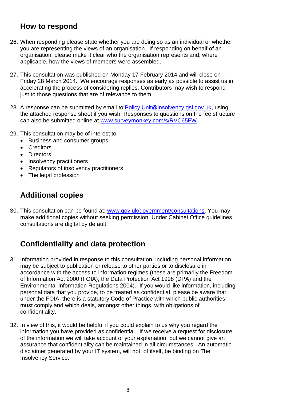# **How to respond**

- 26. When responding please state whether you are doing so as an individual or whether you are representing the views of an organisation. If responding on behalf of an organisation, please make it clear who the organisation represents and, where applicable, how the views of members were assembled.
- 27. This consultation was published on Monday 17 February 2014 and will close on Friday 28 March 2014. We encourage responses as early as possible to assist us in accelerating the process of considering replies. Contributors may wish to respond just to those questions that are of relevance to them.
- 28. A response can be submitted by email to Policy. Unit @insolvency.gsi.gov.uk, using the attached response sheet if you wish. Responses to questions on the fee structure can also be submitted online at [www.surveymonkey.com/s/RVC65FW.](http://www.surveymonkey.com/s/RVC65FW)
- 29. This consultation may be of interest to:
	- Business and consumer groups
	- Creditors
	- Directors
	- Insolvency practitioners
	- Regulators of insolvency practitioners
	- The legal profession

# **Additional copies**

30. This consultation can be found at: [www.gov.uk/government/consultations.](http://www.gov.uk/government/consultations) You may make additional copies without seeking permission. Under Cabinet Office guidelines consultations are digital by default.

# **Confidentiality and data protection**

- 31. Information provided in response to this consultation, including personal information, may be subject to publication or release to other parties or to disclosure in accordance with the access to information regimes (these are primarily the Freedom of Information Act 2000 (FOIA), the Data Protection Act 1998 (DPA) and the Environmental Information Regulations 2004). If you would like information, including personal data that you provide, to be treated as confidential, please be aware that, under the FOIA, there is a statutory Code of Practice with which public authorities must comply and which deals, amongst other things, with obligations of confidentiality.
- 32. In view of this, it would be helpful if you could explain to us why you regard the information you have provided as confidential. If we receive a request for disclosure of the information we will take account of your explanation, but we cannot give an assurance that confidentiality can be maintained in all circumstances. An automatic disclaimer generated by your IT system, will not, of itself, be binding on The Insolvency Service.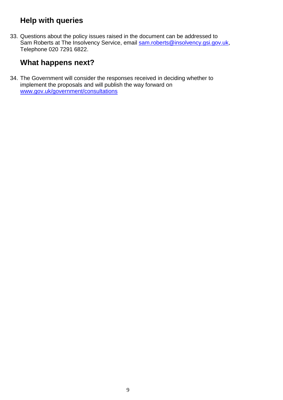# **Help with queries**

33. Questions about the policy issues raised in the document can be addressed to Sam Roberts at The Insolvency Service, email [sam.roberts@insolvency.gsi.gov.uk,](mailto:sam.roberts@insolvency.gsi.gov.uk) Telephone 020 7291 6822.

# **What happens next?**

34. The Government will consider the responses received in deciding whether to implement the proposals and will publish the way forward on [www.gov.uk/government/consultations](http://www.gov.uk/government/consultations)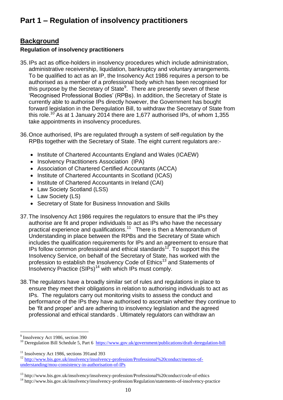# **Background**

# **Regulation of insolvency practitioners**

- 35.IPs act as office-holders in insolvency procedures which include administration, administrative receivership, liquidation, bankruptcy and voluntary arrangements. To be qualified to act as an IP, the Insolvency Act 1986 requires a person to be authorised as a member of a professional body which has been recognised for this purpose by the Secretary of State<sup>9</sup>. There are presently seven of these 'Recognised Professional Bodies' (RPBs). In addition, the Secretary of State is currently able to authorise IPs directly however, the Government has bought forward legislation in the Deregulation Bill, to withdraw the Secretary of State from this role.<sup>10</sup> As at 1 January 2014 there are 1,677 authorised IPs, of whom 1,355 take appointments in insolvency procedures.
- 36.Once authorised, IPs are regulated through a system of self-regulation by the RPBs together with the Secretary of State. The eight current regulators are:-
	- Institute of Chartered Accountants England and Wales (ICAEW)
	- Insolvency Practitioners Association (IPA)
	- Association of Chartered Certified Accountants (ACCA)
	- Institute of Chartered Accountants in Scotland (ICAS)
	- Institute of Chartered Accountants in Ireland (CAI)
	- Law Society Scotland (LSS)
	- Law Society (LS)
	- Secretary of State for Business Innovation and Skills
- 37.The Insolvency Act 1986 requires the regulators to ensure that the IPs they authorise are fit and proper individuals to act as IPs who have the necessary practical experience and qualifications.<sup>11</sup> There is then a Memorandum of Understanding in place between the RPBs and the Secretary of State which includes the qualification requirements for IPs and an agreement to ensure that IPs follow common professional and ethical standards<sup>12</sup>. To support this the Insolvency Service, on behalf of the Secretary of State, has worked with the profession to establish the Insolvency Code of Ethics<sup>13</sup> and Statements of Insolvency Practice (SIPs)<sup>14</sup> with which IPs must comply.
- 38.The regulators have a broadly similar set of rules and regulations in place to ensure they meet their obligations in relation to authorising individuals to act as IPs. The regulators carry out monitoring visits to assess the conduct and performance of the IPs they have authorised to ascertain whether they continue to be 'fit and proper' and are adhering to insolvency legislation and the agreed professional and ethical standards . Ultimately regulators can withdraw an

 $\overline{a}$ 

<sup>&</sup>lt;sup>9</sup> Insolvency Act 1986, section 390

<sup>&</sup>lt;sup>10</sup> Deregulation Bill Schedule 5, Part 6 <https://www.gov.uk/government/publications/draft-deregulation-bill>

<sup>&</sup>lt;sup>11</sup> Insolvency Act 1986, sections 391 and 393

<sup>&</sup>lt;sup>12</sup> [http://www.bis.gov.uk/insolvency/insolvency-profession/Professional%20conduct/memos-of](http://www.bis.gov.uk/insolvency/insolvency-profession/Professional%20conduct/memos-of-understanding/mou-consistency-in-authorisation-of-IPs)[understanding/mou-consistency-in-authorisation-of-IPs](http://www.bis.gov.uk/insolvency/insolvency-profession/Professional%20conduct/memos-of-understanding/mou-consistency-in-authorisation-of-IPs)

<sup>&</sup>lt;sup>13</sup> http://www.bis.gov.uk/insolvency/insolvency-profession/Professional%20conduct/code-of-ethics

<sup>14</sup> http://www.bis.gov.uk/insolvency/insolvency-profession/Regulation/statements-of-insolvency-practice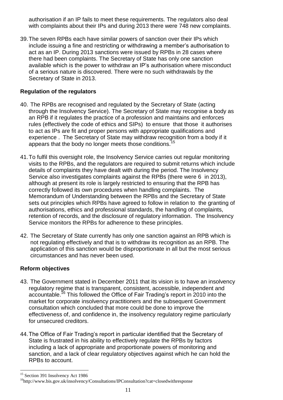authorisation if an IP fails to meet these requirements. The regulators also deal with complaints about their IPs and during 2013 there were 748 new complaints.

39.The seven RPBs each have similar powers of sanction over their IPs which include issuing a fine and restricting or withdrawing a member's authorisation to act as an IP. During 2013 sanctions were issued by RPBs in 28 cases where there had been complaints. The Secretary of State has only one sanction available which is the power to withdraw an IP's authorisation where misconduct of a serious nature is discovered. There were no such withdrawals by the Secretary of State in 2013.

## **Regulation of the regulators**

- 40. The RPBs are recognised and regulated by the Secretary of State (acting through the Insolvency Service). The Secretary of State may recognise a body as an RPB if it regulates the practice of a profession and maintains and enforces rules (effectively the code of ethics and SIPs) to ensure that those it authorises to act as IPs are fit and proper persons with appropriate qualifications and experience . The Secretary of State may withdraw recognition from a body if it appears that the body no longer meets those conditions.<sup>15</sup>
- 41.To fulfil this oversight role, the Insolvency Service carries out regular monitoring visits to the RPBs, and the regulators are required to submit returns which include details of complaints they have dealt with during the period. The Insolvency Service also investigates complaints against the RPBs (there were 6 in 2013), although at present its role is largely restricted to ensuring that the RPB has correctly followed its own procedures when handling complaints. The Memorandum of Understanding between the RPBs and the Secretary of State sets out principles which RPBs have agreed to follow in relation to the granting of authorisations, ethics and professional standards, the handling of complaints, retention of records, and the disclosure of regulatory information. The Insolvency Service monitors the RPBs for adherence to these principles.
- 42. The Secretary of State currently has only one sanction against an RPB which is not regulating effectively and that is to withdraw its recognition as an RPB. The application of this sanction would be disproportionate in all but the most serious circumstances and has never been used.

### **Reform objectives**

- 43. The Government stated in December 2011 that its vision is to have an insolvency regulatory regime that is transparent, consistent, accessible, independent and accountable.<sup>16</sup> This followed the Office of Fair Trading's report in 2010 into the market for corporate insolvency practitioners and the subsequent Government consultation which concluded that more could be done to improve the effectiveness of, and confidence in, the insolvency regulatory regime particularly for unsecured creditors.
- 44.The Office of Fair Trading's report in particular identified that the Secretary of State is frustrated in his ability to effectively regulate the RPBs by factors including a lack of appropriate and proportionate powers of monitoring and sanction, and a lack of clear regulatory objectives against which he can hold the RPBs to account.

 $\overline{a}$ <sup>15</sup> Section 391 Insolvency Act 1986

<sup>&</sup>lt;sup>16</sup>http://www.bis.gov.uk/insolvency/Consultations/IPConsultation?cat=closedwithresponse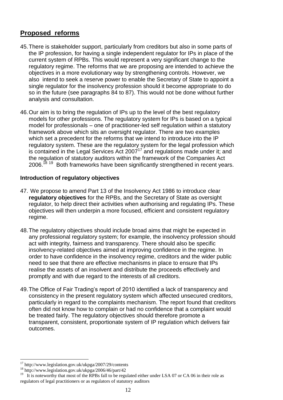# **Proposed reforms**

- 45.There is stakeholder support, particularly from creditors but also in some parts of the IP profession, for having a single independent regulator for IPs in place of the current system of RPBs. This would represent a very significant change to the regulatory regime. The reforms that we are proposing are intended to achieve the objectives in a more evolutionary way by strengthening controls. However, we also intend to seek a reserve power to enable the Secretary of State to appoint a single regulator for the insolvency profession should it become appropriate to do so in the future (see paragraphs 84 to 87). This would not be done without further analysis and consultation.
- 46.Our aim is to bring the regulation of IPs up to the level of the best regulatory models for other professions. The regulatory system for IPs is based on a typical model for professionals – one of practitioner-led self regulation within a statutory framework above which sits an oversight regulator. There are two examples which set a precedent for the reforms that we intend to introduce into the IP regulatory system. These are the regulatory system for the legal profession which is contained in the Legal Services Act  $2007^{17}$  and regulations made under it; and the regulation of statutory auditors within the framework of the Companies Act 2006.<sup>18 19</sup> Both frameworks have been significantly strengthened in recent years.

# **Introduction of regulatory objectives**

- 47. We propose to amend Part 13 of the Insolvency Act 1986 to introduce clear **regulatory objectives** for the RPBs, and the Secretary of State as oversight regulator, to help direct their activities when authorising and regulating IPs. These objectives will then underpin a more focused, efficient and consistent regulatory regime.
- 48.The regulatory objectives should include broad aims that might be expected in any professional regulatory system; for example, the insolvency profession should act with integrity, fairness and transparency. There should also be specific insolvency-related objectives aimed at improving confidence in the regime. In order to have confidence in the insolvency regime, creditors and the wider public need to see that there are effective mechanisms in place to ensure that IPs realise the assets of an insolvent and distribute the proceeds effectively and promptly and with due regard to the interests of all creditors.
- 49.The Office of Fair Trading's report of 2010 identified a lack of transparency and consistency in the present regulatory system which affected unsecured creditors, particularly in regard to the complaints mechanism. The report found that creditors often did not know how to complain or had no confidence that a complaint would be treated fairly. The regulatory objectives should therefore promote a transparent, consistent, proportionate system of IP regulation which delivers fair outcomes.

 $\overline{a}$ 

<sup>17</sup> http://www.legislation.gov.uk/ukpga/2007/29/contents

<sup>18</sup> http://www.legislation.gov.uk/ukpga/2006/46/part/42

<sup>&</sup>lt;sup>19</sup> It is noteworthy that most of the RPBs fall to be regulated either under LSA 07 or CA 06 in their role as regulators of legal practitioners or as regulators of statutory auditors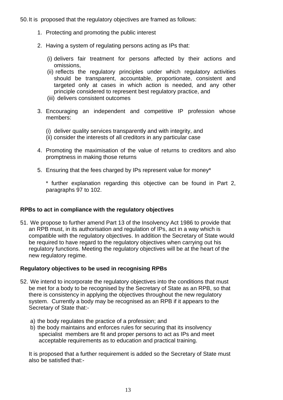50.It is proposed that the regulatory objectives are framed as follows:

- 1. Protecting and promoting the public interest
- 2. Having a system of regulating persons acting as IPs that:
	- (i) delivers fair treatment for persons affected by their actions and omissions,
	- (ii) reflects the regulatory principles under which regulatory activities should be transparent, accountable, proportionate, consistent and targeted only at cases in which action is needed, and any other principle considered to represent best regulatory practice, and
	- (iii) delivers consistent outcomes
- 3. Encouraging an independent and competitive IP profession whose members:
	- (i) deliver quality services transparently and with integrity, and
	- (ii) consider the interests of all creditors in any particular case
- 4. Promoting the maximisation of the value of returns to creditors and also promptness in making those returns
- 5. Ensuring that the fees charged by IPs represent value for money\*

\* further explanation regarding this objective can be found in Part 2, paragraphs 97 to 102.

### **RPBs to act in compliance with the regulatory objectives**

51. We propose to further amend Part 13 of the Insolvency Act 1986 to provide that an RPB must, in its authorisation and regulation of IPs, act in a way which is compatible with the regulatory objectives. In addition the Secretary of State would be required to have regard to the regulatory objectives when carrying out his regulatory functions. Meeting the regulatory objectives will be at the heart of the new regulatory regime.

### **Regulatory objectives to be used in recognising RPBs**

- 52. We intend to incorporate the regulatory objectives into the conditions that must be met for a body to be recognised by the Secretary of State as an RPB, so that there is consistency in applying the objectives throughout the new regulatory system. Currently a body may be recognised as an RPB if it appears to the Secretary of State that:
	- a) the body regulates the practice of a profession; and
	- b) the body maintains and enforces rules for securing that its insolvency specialist members are fit and proper persons to act as IPs and meet acceptable requirements as to education and practical training.

It is proposed that a further requirement is added so the Secretary of State must also be satisfied that:-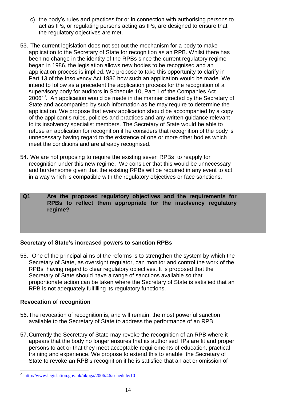- c) the body's rules and practices for or in connection with authorising persons to act as IPs, or regulating persons acting as IPs, are designed to ensure that the regulatory objectives are met.
- 53. The current legislation does not set out the mechanism for a body to make application to the Secretary of State for recognition as an RPB. Whilst there has been no change in the identity of the RPBs since the current regulatory regime began in 1986, the legislation allows new bodies to be recognised and an application process is implied. We propose to take this opportunity to clarify in Part 13 of the Insolvency Act 1986 how such an application would be made. We intend to follow as a precedent the application process for the recognition of a supervisory body for auditors in Schedule 10, Part 1 of the Companies Act  $2006^{20}$ . An application would be made in the manner directed by the Secretary of State and accompanied by such information as he may require to determine the application. We propose that every application should be accompanied by a copy of the applicant's rules, policies and practices and any written guidance relevant to its insolvency specialist members. The Secretary of State would be able to refuse an application for recognition if he considers that recognition of the body is unnecessary having regard to the existence of one or more other bodies which meet the conditions and are already recognised.
- 54. We are not proposing to require the existing seven RPBs to reapply for recognition under this new regime. We consider that this would be unnecessary and burdensome given that the existing RPBs will be required in any event to act in a way which is compatible with the regulatory objectives or face sanctions.
- **Q1 Are the proposed regulatory objectives and the requirements for RPBs to reflect them appropriate for the insolvency regulatory regime?**

# **Secretary of State's increased powers to sanction RPBs**

55. One of the principal aims of the reforms is to strengthen the system by which the Secretary of State, as oversight regulator, can monitor and control the work of the RPBs having regard to clear regulatory objectives. It is proposed that the Secretary of State should have a range of sanctions available so that proportionate action can be taken where the Secretary of State is satisfied that an RPB is not adequately fulfilling its regulatory functions.

### **Revocation of recognition**

- 56.The revocation of recognition is, and will remain, the most powerful sanction available to the Secretary of State to address the performance of an RPB.
- 57.Currently the Secretary of State may revoke the recognition of an RPB where it appears that the body no longer ensures that its authorised IPs are fit and proper persons to act or that they meet acceptable requirements of education, practical training and experience. We propose to extend this to enable the Secretary of State to revoke an RPB's recognition if he is satisfied that an act or omission of

 $\overline{a}$ <sup>20</sup> <http://www.legislation.gov.uk/ukpga/2006/46/schedule/10>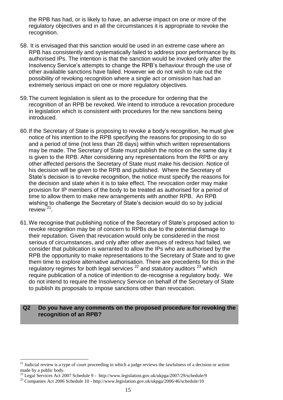the RPB has had, or is likely to have, an adverse impact on one or more of the regulatory objectives and in all the circumstances it is appropriate to revoke the recognition.

- 58. It is envisaged that this sanction would be used in an extreme case where an RPB has consistently and systematically failed to address poor performance by its authorised IPs. The intention is that the sanction would be invoked only after the Insolvency Service's attempts to change the RPB's behaviour through the use of other available sanctions have failed. However we do not wish to rule out the possibility of revoking recognition where a single act or omission has had an extremely serious impact on one or more regulatory objectives.
- 59.The current legislation is silent as to the procedure for ordering that the recognition of an RPB be revoked. We intend to introduce a revocation procedure in legislation which is consistent with procedures for the new sanctions being introduced.
- 60.If the Secretary of State is proposing to revoke a body's recognition, he must give notice of his intention to the RPB specifying the reasons for proposing to do so and a period of time (not less than 28 days) within which written representations may be made. The Secretary of State must publish the notice on the same day it is given to the RPB. After considering any representations from the RPB or any other affected persons the Secretary of State must make his decision. Notice of his decision will be given to the RPB and published. Where the Secretary of State's decision is to revoke recognition, the notice must specify the reasons for the decision and state when it is to take effect. The revocation order may make provision for IP members of the body to be treated as authorised for a period of time to allow them to make new arrangements with another RPB. An RPB wishing to challenge the Secretary of State's decision would do so by judicial review<sup> $21$ </sup>.
- 61.We recognise that publishing notice of the Secretary of State's proposed action to revoke recognition may be of concern to RPBs due to the potential damage to their reputation. Given that revocation would only be considered in the most serious of circumstances, and only after other avenues of redress had failed, we consider that publication is warranted to allow the IPs who are authorised by the RPB the opportunity to make representations to the Secretary of State and to give them time to explore alternative authorisation. There are precedents for this in the regulatory regimes for both legal services  $2^2$  and statutory auditors  $2^3$  which require publication of a notice of intention to de-recognise a regulatory body. We do not intend to require the Insolvency Service on behalf of the Secretary of State to publish its proposals to impose sanctions other than revocation.

#### **Q2 Do you have any comments on the proposed procedure for revoking the recognition of an RPB?**

 $\overline{a}$ 

<sup>&</sup>lt;sup>21</sup> Judicial review is a type of court proceeding in which a judge reviews the lawfulness of a decision or action made by a public body.

<sup>&</sup>lt;sup>22</sup> Legal Services Act 2007 Schedule 9 - http://www.legislation.gov.uk/ukpga/2007/29/schedule/9

<sup>&</sup>lt;sup>23</sup> Companies Act 2006 Schedule 10 - http://www.legislation.gov.uk/ukpga/2006/46/schedule/10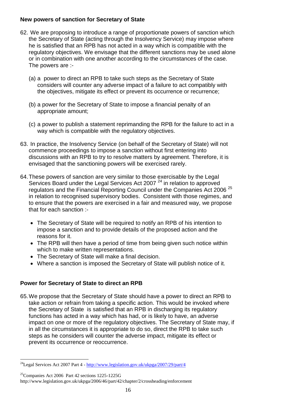### **New powers of sanction for Secretary of State**

- 62. We are proposing to introduce a range of proportionate powers of sanction which the Secretary of State (acting through the Insolvency Service) may impose where he is satisfied that an RPB has not acted in a way which is compatible with the regulatory objectives. We envisage that the different sanctions may be used alone or in combination with one another according to the circumstances of the case. The powers are :-
	- (a) a power to direct an RPB to take such steps as the Secretary of State considers will counter any adverse impact of a failure to act compatibly with the objectives, mitigate its effect or prevent its occurrence or recurrence;
	- (b) a power for the Secretary of State to impose a financial penalty of an appropriate amount;
	- (c) a power to publish a statement reprimanding the RPB for the failure to act in a way which is compatible with the regulatory objectives.
- 63. In practice, the Insolvency Service (on behalf of the Secretary of State) will not commence proceedings to impose a sanction without first entering into discussions with an RPB to try to resolve matters by agreement. Therefore, it is envisaged that the sanctioning powers will be exercised rarely.
- 64.These powers of sanction are very similar to those exercisable by the Legal Services Board under the Legal Services Act 2007<sup>24</sup> in relation to approved regulators and the Financial Reporting Council under the Companies Act 2006<sup>25</sup> in relation to recognised supervisory bodies. Consistent with those regimes, and to ensure that the powers are exercised in a fair and measured way, we propose that for each sanction :-
	- The Secretary of State will be required to notify an RPB of his intention to impose a sanction and to provide details of the proposed action and the reasons for it.
	- The RPB will then have a period of time from being given such notice within which to make written representations.
	- The Secretary of State will make a final decision.
	- Where a sanction is imposed the Secretary of State will publish notice of it.

# **Power for Secretary of State to direct an RPB**

 $\overline{a}$ 

65.We propose that the Secretary of State should have a power to direct an RPB to take action or refrain from taking a specific action. This would be invoked where the Secretary of State is satisfied that an RPB in discharging its regulatory functions has acted in a way which has had, or is likely to have, an adverse impact on one or more of the regulatory objectives. The Secretary of State may, if in all the circumstances it is appropriate to do so, direct the RPB to take such steps as he considers will counter the adverse impact, mitigate its effect or prevent its occurrence or reoccurrence.

<sup>&</sup>lt;sup>24</sup>Legal Services Act 2007 Part 4 - <http://www.legislation.gov.uk/ukpga/2007/29/part/4>

<sup>25</sup>Companies Act 2006 Part 42 sections 1225-1225G http://www.legislation.gov.uk/ukpga/2006/46/part/42/chapter/2/crossheading/enforcement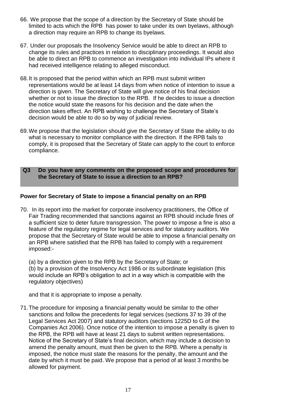- 66. We propose that the scope of a direction by the Secretary of State should be limited to acts which the RPB has power to take under its own byelaws, although a direction may require an RPB to change its byelaws.
- 67. Under our proposals the Insolvency Service would be able to direct an RPB to change its rules and practices in relation to disciplinary proceedings. It would also be able to direct an RPB to commence an investigation into individual IPs where it had received intelligence relating to alleged misconduct.
- 68.It is proposed that the period within which an RPB must submit written representations would be at least 14 days from when notice of intention to issue a direction is given. The Secretary of State will give notice of his final decision whether or not to issue the direction to the RPB. If he decides to issue a direction the notice would state the reasons for his decision and the date when the direction takes effect. An RPB wishing to challenge the Secretary of State's decision would be able to do so by way of judicial review.
- 69.We propose that the legislation should give the Secretary of State the ability to do what is necessary to monitor compliance with the direction. If the RPB fails to comply, it is proposed that the Secretary of State can apply to the court to enforce compliance.
- **Q3 Do you have any comments on the proposed scope and procedures for the Secretary of State to issue a direction to an RPB?**

## **Power for Secretary of State to impose a financial penalty on an RPB**

70. In its report into the market for corporate insolvency practitioners, the Office of Fair Trading recommended that sanctions against an RPB should include fines of a sufficient size to deter future transgression. The power to impose a fine is also a feature of the regulatory regime for legal services and for statutory auditors. We propose that the Secretary of State would be able to impose a financial penalty on an RPB where satisfied that the RPB has failed to comply with a requirement imposed:-

(a) by a direction given to the RPB by the Secretary of State; or (b) by a provision of the Insolvency Act 1986 or its subordinate legislation (this would include an RPB's obligation to act in a way which is compatible with the regulatory objectives)

and that it is appropriate to impose a penalty.

71.The procedure for imposing a financial penalty would be similar to the other sanctions and follow the precedents for legal services (sections 37 to 39 of the Legal Services Act 2007) and statutory auditors (sections 1225D to G of the Companies Act 2006). Once notice of the intention to impose a penalty is given to the RPB, the RPB will have at least 21 days to submit written representations. Notice of the Secretary of State's final decision, which may include a decision to amend the penalty amount, must then be given to the RPB. Where a penalty is imposed, the notice must state the reasons for the penalty, the amount and the date by which it must be paid. We propose that a period of at least 3 months be allowed for payment.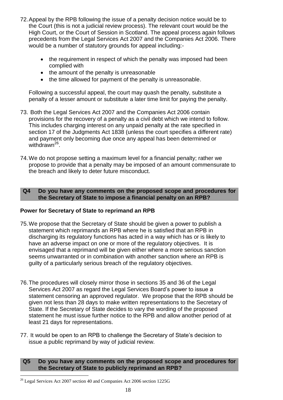- 72.Appeal by the RPB following the issue of a penalty decision notice would be to the Court (this is not a judicial review process). The relevant court would be the High Court, or the Court of Session in Scotland. The appeal process again follows precedents from the Legal Services Act 2007 and the Companies Act 2006. There would be a number of statutory grounds for appeal including:-
	- the requirement in respect of which the penalty was imposed had been complied with
	- the amount of the penalty is unreasonable
	- the time allowed for payment of the penalty is unreasonable.

Following a successful appeal, the court may quash the penalty, substitute a penalty of a lesser amount or substitute a later time limit for paying the penalty.

- 73. Both the Legal Services Act 2007 and the Companies Act 2006 contain provisions for the recovery of a penalty as a civil debt which we intend to follow. This includes charging interest on any unpaid penalty at the rate specified in section 17 of the Judgments Act 1838 (unless the court specifies a different rate) and payment only becoming due once any appeal has been determined or withdrawn<sup>26</sup>.
- 74.We do not propose setting a maximum level for a financial penalty; rather we propose to provide that a penalty may be imposed of an amount commensurate to the breach and likely to deter future misconduct.

### **Q4 Do you have any comments on the proposed scope and procedures for the Secretary of State to impose a financial penalty on an RPB?**

# **Power for Secretary of State to reprimand an RPB**

- 75.We propose that the Secretary of State should be given a power to publish a statement which reprimands an RPB where he is satisfied that an RPB in discharging its regulatory functions has acted in a way which has or is likely to have an adverse impact on one or more of the regulatory objectives. It is envisaged that a reprimand will be given either where a more serious sanction seems unwarranted or in combination with another sanction where an RPB is guilty of a particularly serious breach of the regulatory objectives.
- 76.The procedures will closely mirror those in sections 35 and 36 of the Legal Services Act 2007 as regard the Legal Services Board's power to issue a statement censoring an approved regulator. We propose that the RPB should be given not less than 28 days to make written representations to the Secretary of State. If the Secretary of State decides to vary the wording of the proposed statement he must issue further notice to the RPB and allow another period of at least 21 days for representations.
- 77. It would be open to an RPB to challenge the Secretary of State's decision to issue a public reprimand by way of judicial review.

## **Q5 Do you have any comments on the proposed scope and procedures for the Secretary of State to publicly reprimand an RPB?**

 $\overline{a}$ <sup>26</sup> Legal Services Act 2007 section 40 and Companies Act 2006 section 1225G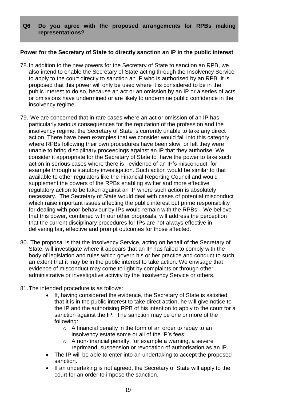### **Q6 Do you agree with the proposed arrangements for RPBs making representations?**

### **Power for the Secretary of State to directly sanction an IP in the public interest**

- 78.In addition to the new powers for the Secretary of State to sanction an RPB, we also intend to enable the Secretary of State acting through the Insolvency Service to apply to the court directly to sanction an IP who is authorised by an RPB. It is proposed that this power will only be used where it is considered to be in the public interest to do so, because an act or an omission by an IP or a series of acts or omissions have undermined or are likely to undermine public confidence in the insolvency regime.
- 79. We are concerned that in rare cases where an act or omission of an IP has particularly serious consequences for the reputation of the profession and the insolvency regime, the Secretary of State is currently unable to take any direct action. There have been examples that we consider would fall into this category where RPBs following their own procedures have been slow, or felt they were unable to bring disciplinary proceedings against an IP that they authorise. We consider it appropriate for the Secretary of State to have the power to take such action in serious cases where there is evidence of an IP's misconduct, for example through a statutory investigation. Such action would be similar to that available to other regulators like the Financial Reporting Council and would supplement the powers of the RPBs enabling swifter and more effective regulatory action to be taken against an IP where such action is absolutely necessary. The Secretary of State would deal with cases of potential misconduct which raise important issues affecting the public interest but prime responsibility for dealing with poor behaviour by IPs would remain with the RPBs. We believe that this power, combined with our other proposals, will address the perception that the current disciplinary procedures for IPs are not always effective in delivering fair, effective and prompt outcomes for those affected.
- 80. The proposal is that the Insolvency Service, acting on behalf of the Secretary of State, will investigate where it appears that an IP has failed to comply with the body of legislation and rules which govern his or her practice and conduct to such an extent that it may be in the public interest to take action. We envisage that evidence of misconduct may come to light by complaints or through other administrative or investigative activity by the Insolvency Service or others.
- 81.The intended procedure is as follows:
	- If, having considered the evidence, the Secretary of State is satisfied that it is in the public interest to take direct action, he will give notice to the IP and the authorising RPB of his intention to apply to the court for a sanction against the IP. The sanction may be one or more of the following:
		- $\circ$  A financial penalty in the form of an order to repay to an insolvency estate some or all of the IP's fees;
		- o A non-financial penalty, for example a warning, a severe reprimand, suspension or revocation of authorisation as an IP.
	- The IP will be able to enter into an undertaking to accept the proposed sanction.
	- If an undertaking is not agreed, the Secretary of State will apply to the court for an order to impose the sanction.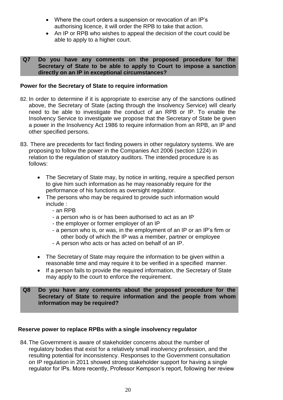- Where the court orders a suspension or revocation of an IP's authorising licence, it will order the RPB to take that action.
- An IP or RPB who wishes to appeal the decision of the court could be able to apply to a higher court.

#### **Q7 Do you have any comments on the proposed procedure for the Secretary of State to be able to apply to Court to impose a sanction directly on an IP in exceptional circumstances?**

## **Power for the Secretary of State to require information**

- 82. In order to determine if it is appropriate to exercise any of the sanctions outlined above, the Secretary of State (acting through the Insolvency Service) will clearly need to be able to investigate the conduct of an RPB or IP. To enable the Insolvency Service to investigate we propose that the Secretary of State be given a power in the Insolvency Act 1986 to require information from an RPB, an IP and other specified persons.
- 83. There are precedents for fact finding powers in other regulatory systems. We are proposing to follow the power in the Companies Act 2006 (section 1224) in relation to the regulation of statutory auditors. The intended procedure is as follows:
	- The Secretary of State may, by notice in writing, require a specified person to give him such information as he may reasonably require for the performance of his functions as oversight regulator.
	- The persons who may be required to provide such information would include :
		- an RPB
		- a person who is or has been authorised to act as an IP
		- the employer or former employer of an IP
		- a person who is, or was, in the employment of an IP or an IP's firm or other body of which the IP was a member, partner or employee
		- A person who acts or has acted on behalf of an IP.
	- The Secretary of State may require the information to be given within a reasonable time and may require it to be verified in a specified manner.
	- If a person fails to provide the required information, the Secretary of State may apply to the court to enforce the requirement.

### **Q8 Do you have any comments about the proposed procedure for the Secretary of State to require information and the people from whom information may be required?**

# **Reserve power to replace RPBs with a single insolvency regulator**

84.The Government is aware of stakeholder concerns about the number of regulatory bodies that exist for a relatively small insolvency profession, and the resulting potential for inconsistency. Responses to the Government consultation on IP regulation in 2011 showed strong stakeholder support for having a single regulator for IPs. More recently, Professor Kempson's report, following her review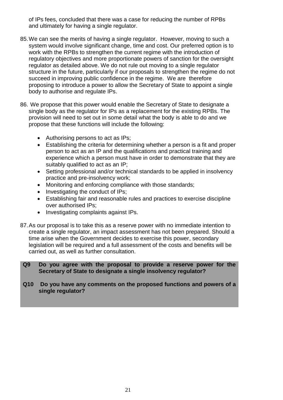of IPs fees, concluded that there was a case for reducing the number of RPBs and ultimately for having a single regulator.

- 85.We can see the merits of having a single regulator. However, moving to such a system would involve significant change, time and cost. Our preferred option is to work with the RPBs to strengthen the current regime with the introduction of regulatory objectives and more proportionate powers of sanction for the oversight regulator as detailed above. We do not rule out moving to a single regulator structure in the future, particularly if our proposals to strengthen the regime do not succeed in improving public confidence in the regime. We are therefore proposing to introduce a power to allow the Secretary of State to appoint a single body to authorise and regulate IPs.
- 86. We propose that this power would enable the Secretary of State to designate a single body as the regulator for IPs as a replacement for the existing RPBs. The provision will need to set out in some detail what the body is able to do and we propose that these functions will include the following:
	- Authorising persons to act as IPs;
	- Establishing the criteria for determining whether a person is a fit and proper person to act as an IP and the qualifications and practical training and experience which a person must have in order to demonstrate that they are suitably qualified to act as an IP;
	- Setting professional and/or technical standards to be applied in insolvency practice and pre-insolvency work;
	- Monitoring and enforcing compliance with those standards;
	- Investigating the conduct of IPs;
	- Establishing fair and reasonable rules and practices to exercise discipline over authorised IPs;
	- Investigating complaints against IPs.
- 87.As our proposal is to take this as a reserve power with no immediate intention to create a single regulator, an impact assessment has not been prepared. Should a time arise when the Government decides to exercise this power, secondary legislation will be required and a full assessment of the costs and benefits will be carried out, as well as further consultation.

**Q9 Do you agree with the proposal to provide a reserve power for the Secretary of State to designate a single insolvency regulator?**

**Q10 Do you have any comments on the proposed functions and powers of a single regulator?**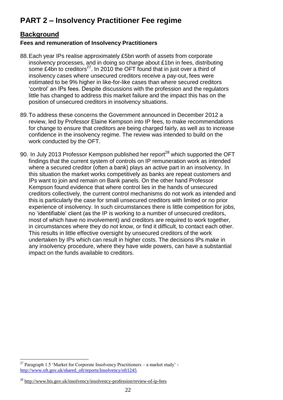# **PART 2 – Insolvency Practitioner Fee regime**

# **Background**

# **Fees and remuneration of Insolvency Practitioners**

- 88.Each year IPs realise approximately £5bn worth of assets from corporate insolvency processes, and in doing so charge about £1bn in fees, distributing some £4bn to creditors $^{27}$ . In 2010 the OFT found that in just over a third of insolvency cases where unsecured creditors receive a pay-out, fees were estimated to be 9% higher in like-for-like cases than where secured creditors 'control' an IPs fees. Despite discussions with the profession and the regulators little has changed to address this market failure and the impact this has on the position of unsecured creditors in insolvency situations.
- 89.To address these concerns the Government announced in December 2012 a review, led by Professor Elaine Kempson into IP fees, to make recommendations for change to ensure that creditors are being charged fairly, as well as to increase confidence in the insolvency regime. The review was intended to build on the work conducted by the OFT.
- 90. In July 2013 Professor Kempson published her report<sup>28</sup> which supported the OFT findings that the current system of controls on IP remuneration work as intended where a secured creditor (often a bank) plays an active part in an insolvency. In this situation the market works competitively as banks are repeat customers and IPs want to join and remain on Bank panels. On the other hand Professor Kempson found evidence that where control lies in the hands of unsecured creditors collectively, the current control mechanisms do not work as intended and this is particularly the case for small unsecured creditors with limited or no prior experience of insolvency. In such circumstances there is little competition for jobs, no 'identifiable' client (as the IP is working to a number of unsecured creditors, most of which have no involvement) and creditors are required to work together, in circumstances where they do not know, or find it difficult, to contact each other. This results in little effective oversight by unsecured creditors of the work undertaken by IPs which can result in higher costs. The decisions IPs make in any insolvency procedure, where they have wide powers, can have a substantial impact on the funds available to creditors.

 $\overline{a}$ <sup>27</sup> Paragraph 1.5 'Market for Corporate Insolvency Practitioners – a market study' [http://www.oft.gov.uk/shared\\_oft/reports/Insolvency/oft1245](http://www.oft.gov.uk/shared_oft/reports/Insolvency/oft1245)

<sup>&</sup>lt;sup>28</sup> <http://www.bis.gov.uk/insolvency/insolvency-profession/review-of-ip-fees>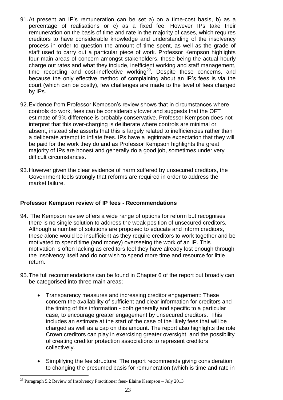- 91.At present an IP's remuneration can be set a) on a time-cost basis, b) as a percentage of realisations or c) as a fixed fee. However IPs take their remuneration on the basis of time and rate in the majority of cases, which requires creditors to have considerable knowledge and understanding of the insolvency process in order to question the amount of time spent, as well as the grade of staff used to carry out a particular piece of work. Professor Kempson highlights four main areas of concern amongst stakeholders, those being the actual hourly charge out rates and what they include, inefficient working and staff management, time recording and cost-ineffective working<sup>29</sup>. Despite these concerns, and because the only effective method of complaining about an IP's fees is via the court (which can be costly), few challenges are made to the level of fees charged by IPs.
- 92.Evidence from Professor Kempson's review shows that in circumstances where controls do work, fees can be considerably lower and suggests that the OFT estimate of 9% difference is probably conservative. Professor Kempson does not interpret that this over-charging is deliberate where controls are minimal or absent, instead she asserts that this is largely related to inefficiencies rather than a deliberate attempt to inflate fees. IPs have a legitimate expectation that they will be paid for the work they do and as Professor Kempson highlights the great majority of IPs are honest and generally do a good job, sometimes under very difficult circumstances.
- 93.However given the clear evidence of harm suffered by unsecured creditors, the Government feels strongly that reforms are required in order to address the market failure.

### **Professor Kempson review of IP fees - Recommendations**

- 94. The Kempson review offers a wide range of options for reform but recognises there is no single solution to address the weak position of unsecured creditors. Although a number of solutions are proposed to educate and inform creditors, these alone would be insufficient as they require creditors to work together and be motivated to spend time (and money) overseeing the work of an IP. This motivation is often lacking as creditors feel they have already lost enough through the insolvency itself and do not wish to spend more time and resource for little return.
- 95.The full recommendations can be found in Chapter 6 of the report but broadly can be categorised into three main areas;
	- Transparency measures and increasing creditor engagement: These concern the availability of sufficient and clear information for creditors and the timing of this information - both generally and specific to a particular case, to encourage greater engagement by unsecured creditors. This includes an estimate at the start of the case of the likely fees that will be charged as well as a cap on this amount. The report also highlights the role Crown creditors can play in exercising greater oversight, and the possibility of creating creditor protection associations to represent creditors collectively.
	- Simplifying the fee structure: The report recommends giving consideration to changing the presumed basis for remuneration (which is time and rate in

 $\overline{a}$ <sup>29</sup> Paragraph 5.2 Review of Insolvency Practitioner fees- Elaine Kempson – July 2013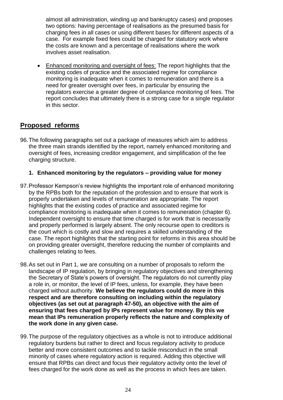almost all administration, winding up and bankruptcy cases) and proposes two options: having percentage of realisations as the presumed basis for charging fees in all cases or using different bases for different aspects of a case. For example fixed fees could be charged for statutory work where the costs are known and a percentage of realisations where the work involves asset realisation.

 Enhanced monitoring and oversight of fees: The report highlights that the existing codes of practice and the associated regime for compliance monitoring is inadequate when it comes to remuneration and there is a need for greater oversight over fees, in particular by ensuring the regulators exercise a greater degree of compliance monitoring of fees. The report concludes that ultimately there is a strong case for a single regulator in this sector.

# **Proposed reforms**

96.The following paragraphs set out a package of measures which aim to address the three main strands identified by the report, namely enhanced monitoring and oversight of fees, increasing creditor engagement, and simplification of the fee charging structure.

# **1. Enhanced monitoring by the regulators – providing value for money**

- 97.Professor Kempson's review highlights the important role of enhanced monitoring by the RPBs both for the reputation of the profession and to ensure that work is properly undertaken and levels of remuneration are appropriate. The report highlights that the existing codes of practice and associated regime for compliance monitoring is inadequate when it comes to remuneration (chapter 6). Independent oversight to ensure that time charged is for work that is necessarily and properly performed is largely absent. The only recourse open to creditors is the court which is costly and slow and requires a skilled understanding of the case. The report highlights that the starting point for reforms in this area should be on providing greater oversight, therefore reducing the number of complaints and challenges relating to fees.
- 98.As set out in Part 1, we are consulting on a number of proposals to reform the landscape of IP regulation, by bringing in regulatory objectives and strengthening the Secretary of State's powers of oversight. The regulators do not currently play a role in, or monitor, the level of IP fees, unless, for example, they have been charged without authority. **We believe the regulators could do more in this respect and are therefore consulting on including within the regulatory objectives (as set out at paragraph 47-50), an objective with the aim of ensuring that fees charged by IPs represent value for money. By this we mean that IPs remuneration properly reflects the nature and complexity of the work done in any given case.**
- 99.The purpose of the regulatory objectives as a whole is not to introduce additional regulatory burdens but rather to direct and focus regulatory activity to produce better and more consistent outcomes and to tackle misconduct in the small minority of cases where regulatory action is required. Adding this objective will ensure that RPBs can direct and focus their regulatory activity onto the level of fees charged for the work done as well as the process in which fees are taken.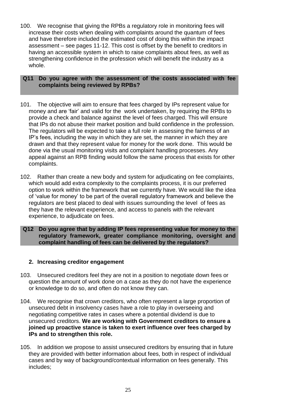100. We recognise that giving the RPBs a regulatory role in monitoring fees will increase their costs when dealing with complaints around the quantum of fees and have therefore included the estimated cost of doing this within the impact assessment – see pages 11-12. This cost is offset by the benefit to creditors in having an accessible system in which to raise complaints about fees, as well as strengthening confidence in the profession which will benefit the industry as a whole.

### **Q11 Do you agree with the assessment of the costs associated with fee complaints being reviewed by RPBs?**

- 101. The objective will aim to ensure that fees charged by IPs represent value for money and are 'fair' and valid for the work undertaken, by requiring the RPBs to provide a check and balance against the level of fees charged. This will ensure that IPs do not abuse their market position and build confidence in the profession. The regulators will be expected to take a full role in assessing the fairness of an IP's fees, including the way in which they are set, the manner in which they are drawn and that they represent value for money for the work done. This would be done via the usual monitoring visits and complaint handling processes. Any appeal against an RPB finding would follow the same process that exists for other complaints.
- 102. Rather than create a new body and system for adjudicating on fee complaints, which would add extra complexity to the complaints process, it is our preferred option to work within the framework that we currently have. We would like the idea of 'value for money' to be part of the overall regulatory framework and believe the regulators are best placed to deal with issues surrounding the level of fees as they have the relevant experience, and access to panels with the relevant experience, to adjudicate on fees.
- **Q12 Do you agree that by adding IP fees representing value for money to the regulatory framework, greater compliance monitoring, oversight and complaint handling of fees can be delivered by the regulators?**

### **2. Increasing creditor engagement**

- 103. Unsecured creditors feel they are not in a position to negotiate down fees or question the amount of work done on a case as they do not have the experience or knowledge to do so, and often do not know they can.
- 104. We recognise that crown creditors, who often represent a large proportion of unsecured debt in insolvency cases have a role to play in overseeing and negotiating competitive rates in cases where a potential dividend is due to unsecured creditors. **We are working with Government creditors to ensure a joined up proactive stance is taken to exert influence over fees charged by IPs and to strengthen this role.**
- 105. In addition we propose to assist unsecured creditors by ensuring that in future they are provided with better information about fees, both in respect of individual cases and by way of background/contextual information on fees generally. This includes;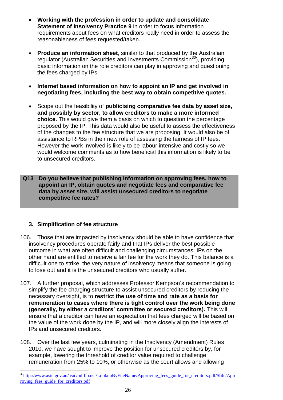- **Working with the profession in order to update and consolidate Statement of Insolvency Practice 9** in order to focus information requirements about fees on what creditors really need in order to assess the reasonableness of fees requested/taken.
- **Produce an information sheet**, similar to that produced by the Australian regulator (Australian Securities and Investments Commission<sup>30</sup>), providing basic information on the role creditors can play in approving and questioning the fees charged by IPs.
- **Internet based information on how to appoint an IP and get involved in negotiating fees, including the best way to obtain competitive quotes.**
- Scope out the feasibility of **publicising comparative fee data by asset size, and possibly by sector, to allow creditors to make a more informed choice.** This would give them a basis on which to question the percentage proposed by the IP. This data would also be useful to assess the effectiveness of the changes to the fee structure that we are proposing. It would also be of assistance to RPBs in their new role of assessing the fairness of IP fees. However the work involved is likely to be labour intensive and costly so we would welcome comments as to how beneficial this information is likely to be to unsecured creditors.
- **Q13 Do you believe that publishing information on approving fees, how to appoint an IP, obtain quotes and negotiate fees and comparative fee data by asset size, will assist unsecured creditors to negotiate competitive fee rates?**

# **3. Simplification of fee structure**

- 106. Those that are impacted by insolvency should be able to have confidence that insolvency procedures operate fairly and that IPs deliver the best possible outcome in what are often difficult and challenging circumstances. IPs on the other hand are entitled to receive a fair fee for the work they do. This balance is a difficult one to strike, the very nature of insolvency means that someone is going to lose out and it is the unsecured creditors who usually suffer.
- 107. A further proposal, which addresses Professor Kempson's recommendation to simplify the fee charging structure to assist unsecured creditors by reducing the necessary oversight, is to **restrict the use of time and rate as a basis for remuneration to cases where there is tight control over the work being done (generally, by either a creditors' committee or secured creditors).** This will ensure that a creditor can have an expectation that fees charged will be based on the value of the work done by the IP, and will more closely align the interests of IPs and unsecured creditors.
- 108. Over the last few years, culminating in the Insolvency (Amendment) Rules 2010, we have sought to improve the position for unsecured creditors by, for example, lowering the threshold of creditor value required to challenge remuneration from 25% to 10%, or otherwise as the court allows and allowing

 $\overline{a}$ <sup>30</sup>[http://www.asic.gov.au/asic/pdflib.nsf/LookupByFileName/Approving\\_fees\\_guide\\_for\\_creditors.pdf/\\$file/App](http://www.asic.gov.au/asic/pdflib.nsf/LookupByFileName/Approving_fees_guide_for_creditors.pdf/$file/Approving_fees_guide_for_creditors.pdf) [roving\\_fees\\_guide\\_for\\_creditors.pdf](http://www.asic.gov.au/asic/pdflib.nsf/LookupByFileName/Approving_fees_guide_for_creditors.pdf/$file/Approving_fees_guide_for_creditors.pdf)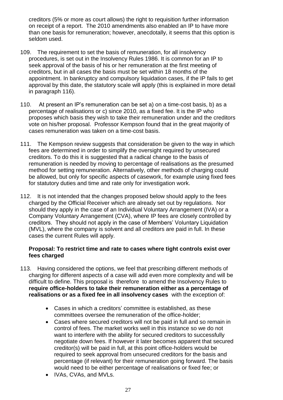creditors (5% or more as court allows) the right to requisition further information on receipt of a report. The 2010 amendments also enabled an IP to have more than one basis for remuneration; however, anecdotally, it seems that this option is seldom used.

- 109. The requirement to set the basis of remuneration, for all insolvency procedures, is set out in the Insolvency Rules 1986. It is common for an IP to seek approval of the basis of his or her remuneration at the first meeting of creditors, but in all cases the basis must be set within 18 months of the appointment. In bankruptcy and compulsory liquidation cases, if the IP fails to get approval by this date, the statutory scale will apply (this is explained in more detail in paragraph 116).
- 110. At present an IP's remuneration can be set a) on a time-cost basis, b) as a percentage of realisations or c) since 2010, as a fixed fee. It is the IP who proposes which basis they wish to take their remuneration under and the creditors vote on his/her proposal. Professor Kempson found that in the great majority of cases remuneration was taken on a time-cost basis.
- 111. The Kempson review suggests that consideration be given to the way in which fees are determined in order to simplify the oversight required by unsecured creditors. To do this it is suggested that a radical change to the basis of remuneration is needed by moving to percentage of realisations as the presumed method for setting remuneration. Alternatively, other methods of charging could be allowed, but only for specific aspects of casework, for example using fixed fees for statutory duties and time and rate only for investigation work.
- 112. It is not intended that the changes proposed below should apply to the fees charged by the Official Receiver which are already set out by regulations. Nor should they apply in the case of an Individual Voluntary Arrangement (IVA) or a Company Voluntary Arrangement (CVA), where IP fees are closely controlled by creditors. They should not apply in the case of Members' Voluntary Liquidation (MVL), where the company is solvent and all creditors are paid in full. In these cases the current Rules will apply.

## **Proposal: To restrict time and rate to cases where tight controls exist over fees charged**

- 113. Having considered the options, we feel that prescribing different methods of charging for different aspects of a case will add even more complexity and will be difficult to define. This proposal is therefore to amend the Insolvency Rules to **require office-holders to take their remuneration either as a percentage of realisations or as a fixed fee in all insolvency cases** with the exception of:
	- Cases in which a creditors' committee is established, as these committees oversee the remuneration of the office-holder;
	- Cases where secured creditors will not be paid in full and so remain in control of fees. The market works well in this instance so we do not want to interfere with the ability for secured creditors to successfully negotiate down fees. If however it later becomes apparent that secured creditor(s) will be paid in full, at this point office-holders would be required to seek approval from unsecured creditors for the basis and percentage (if relevant) for their remuneration going forward. The basis would need to be either percentage of realisations or fixed fee; or
	- IVAs, CVAs, and MVLs.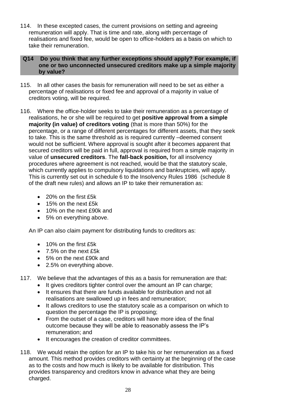114. In these excepted cases, the current provisions on setting and agreeing remuneration will apply. That is time and rate, along with percentage of realisations and fixed fee, would be open to office-holders as a basis on which to take their remuneration.

### **Q14 Do you think that any further exceptions should apply? For example, if one or two unconnected unsecured creditors make up a simple majority by value?**

- 115. In all other cases the basis for remuneration will need to be set as either a percentage of realisations or fixed fee and approval of a majority in value of creditors voting, will be required.
- 116. Where the office-holder seeks to take their remuneration as a percentage of realisations, he or she will be required to get **positive approval from a simple majority (in value) of creditors voting** (that is more than 50%) for the percentage, or a range of different percentages for different assets, that they seek to take. This is the same threshold as is required currently –deemed consent would not be sufficient. Where approval is sought after it becomes apparent that secured creditors will be paid in full, approval is required from a simple majority in value of **unsecured creditors**. The **fall-back position,** for all insolvency procedures where agreement is not reached, would be that the statutory scale, which currently applies to compulsory liquidations and bankruptcies, will apply. This is currently set out in schedule 6 to the Insolvency Rules 1986 (schedule 8 of the draft new rules) and allows an IP to take their remuneration as:
	- 20% on the first £5k
	- 15% on the next £5k
	- 10% on the next £90k and
	- 5% on everything above.

An IP can also claim payment for distributing funds to creditors as:

- $\bullet$  10% on the first  $f5k$
- 7.5% on the next £5k
- 5% on the next £90k and
- 2.5% on everything above.
- 117. We believe that the advantages of this as a basis for remuneration are that:
	- It gives creditors tighter control over the amount an IP can charge;
	- It ensures that there are funds available for distribution and not all realisations are swallowed up in fees and remuneration;
	- It allows creditors to use the statutory scale as a comparison on which to question the percentage the IP is proposing;
	- From the outset of a case, creditors will have more idea of the final outcome because they will be able to reasonably assess the IP's remuneration; and
	- It encourages the creation of creditor committees.
- 118. We would retain the option for an IP to take his or her remuneration as a fixed amount. This method provides creditors with certainty at the beginning of the case as to the costs and how much is likely to be available for distribution. This provides transparency and creditors know in advance what they are being charged.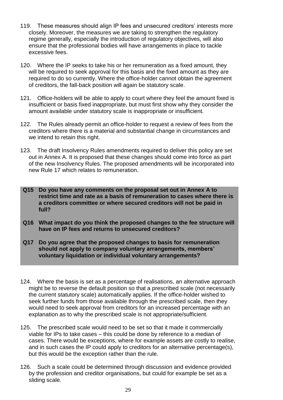- 119. These measures should align IP fees and unsecured creditors' interests more closely. Moreover, the measures we are taking to strengthen the regulatory regime generally, especially the introduction of regulatory objectives, will also ensure that the professional bodies will have arrangements in place to tackle excessive fees.
- 120. Where the IP seeks to take his or her remuneration as a fixed amount, they will be required to seek approval for this basis and the fixed amount as they are required to do so currently. Where the office-holder cannot obtain the agreement of creditors, the fall-back position will again be statutory scale.
- 121. Office-holders will be able to apply to court where they feel the amount fixed is insufficient or basis fixed inappropriate, but must first show why they consider the amount available under statutory scale is inappropriate or insufficient.
- 122. The Rules already permit an office-holder to request a review of fees from the creditors where there is a material and substantial change in circumstances and we intend to retain this right.
- 123. The draft Insolvency Rules amendments required to deliver this policy are set out in Annex A. It is proposed that these changes should come into force as part of the new Insolvency Rules. The proposed amendments will be incorporated into new Rule 17 which relates to remuneration.
- **Q15 Do you have any comments on the proposal set out in Annex A to restrict time and rate as a basis of remuneration to cases where there is a creditors committee or where secured creditors will not be paid in full?**
- **Q16 What impact do you think the proposed changes to the fee structure will have on IP fees and returns to unsecured creditors?**
- **Q17 Do you agree that the proposed changes to basis for remuneration should not apply to company voluntary arrangements, members' voluntary liquidation or individual voluntary arrangements?**
- 124. Where the basis is set as a percentage of realisations, an alternative approach might be to reverse the default position so that a prescribed scale (not necessarily the current statutory scale) automatically applies. If the office-holder wished to seek further funds from those available through the prescribed scale, then they would need to seek approval from creditors for an increased percentage with an explanation as to why the prescribed scale is not appropriate/sufficient.
- 125. The prescribed scale would need to be set so that it made it commercially viable for IPs to take cases – this could be done by reference to a median of cases. There would be exceptions, where for example assets are costly to realise, and in such cases the IP could apply to creditors for an alternative percentage(s), but this would be the exception rather than the rule.
- 126. Such a scale could be determined through discussion and evidence provided by the profession and creditor organisations, but could for example be set as a sliding scale.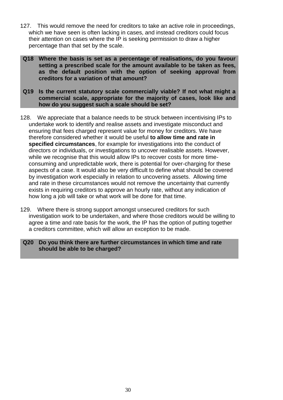- 127. This would remove the need for creditors to take an active role in proceedings, which we have seen is often lacking in cases, and instead creditors could focus their attention on cases where the IP is seeking permission to draw a higher percentage than that set by the scale.
- **Q18 Where the basis is set as a percentage of realisations, do you favour setting a prescribed scale for the amount available to be taken as fees, as the default position with the option of seeking approval from creditors for a variation of that amount?**
- **Q19 Is the current statutory scale commercially viable? If not what might a commercial scale, appropriate for the majority of cases, look like and how do you suggest such a scale should be set?**
- 128. We appreciate that a balance needs to be struck between incentivising IPs to undertake work to identify and realise assets and investigate misconduct and ensuring that fees charged represent value for money for creditors. We have therefore considered whether it would be useful **to allow time and rate in specified circumstances**, for example for investigations into the conduct of directors or individuals, or investigations to uncover realisable assets. However, while we recognise that this would allow IPs to recover costs for more timeconsuming and unpredictable work, there is potential for over-charging for these aspects of a case. It would also be very difficult to define what should be covered by investigation work especially in relation to uncovering assets. Allowing time and rate in these circumstances would not remove the uncertainty that currently exists in requiring creditors to approve an hourly rate, without any indication of how long a job will take or what work will be done for that time.
- 129. Where there is strong support amongst unsecured creditors for such investigation work to be undertaken, and where those creditors would be willing to agree a time and rate basis for the work, the IP has the option of putting together a creditors committee, which will allow an exception to be made.

#### **Q20 Do you think there are further circumstances in which time and rate should be able to be charged?**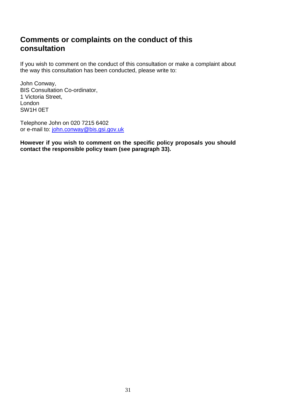# **Comments or complaints on the conduct of this consultation**

If you wish to comment on the conduct of this consultation or make a complaint about the way this consultation has been conducted, please write to:

John Conway, BIS Consultation Co-ordinator, 1 Victoria Street, London SW1H 0ET

Telephone John on 020 7215 6402 or e-mail to: [john.conway@bis.gsi.gov.uk](mailto:john.conway@bis.gsi.gov.uk) 

**However if you wish to comment on the specific policy proposals you should contact the responsible policy team (see paragraph 33).**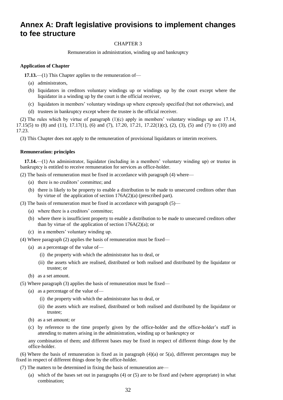# **Annex A: Draft legislative provisions to implement changes to fee structure**

#### CHAPTER 3

Remuneration in administration, winding up and bankruptcy

#### **Application of Chapter**

**17.13.**—(1) This Chapter applies to the remuneration of—

- (a) administrators,
- (b) liquidators in creditors voluntary windings up or windings up by the court except where the liquidator in a winding up by the court is the official receiver,
- (c) liquidators in members' voluntary windings up where expressly specified (but not otherwise), and
- (d) trustees in bankruptcy except where the trustee is the official receiver.

(2) The rules which by virtue of paragraph (1)(c) apply in members' voluntary windings up are 17.14, 17.15(5) to (8) and (11), 17.17(1), (6) and (7), 17.20, 17.21, 17.22(1)(c), (2), (3), (5) and (7) to (10) and 17.23.

(3) This Chapter does not apply to the remuneration of provisional liquidators or interim receivers.

#### **Remuneration: principles**

**17.14.**—(1) An administrator, liquidator (including in a members' voluntary winding up) or trustee in bankruptcy is entitled to receive remuneration for services as office-holder.

(2) The basis of remuneration must be fixed in accordance with paragraph (4) where—

- (a) there is no creditors' committee; and
- (b) there is likely to be property to enable a distribution to be made to unsecured creditors other than by virtue of the application of section 176A(2)(a) (prescribed part).
- (3) The basis of remuneration must be fixed in accordance with paragraph (5)—
	- (a) where there is a creditors' committee;
	- (b) where there is insufficient property to enable a distribution to be made to unsecured creditors other than by virtue of the application of section  $176A(2)(a)$ ; or
	- (c) in a members' voluntary winding up.
- (4) Where paragraph (2) applies the basis of remuneration must be fixed—
	- (a) as a percentage of the value of—
		- (i) the property with which the administrator has to deal, or
		- (ii) the assets which are realised, distributed or both realised and distributed by the liquidator or trustee; or
	- (b) as a set amount.
- (5) Where paragraph (3) applies the basis of remuneration must be fixed—
	- (a) as a percentage of the value of—
		- (i) the property with which the administrator has to deal, or
		- (ii) the assets which are realised, distributed or both realised and distributed by the liquidator or trustee;
	- (b) as a set amount; or
	- (c) by reference to the time properly given by the office-holder and the office-holder's staff in attending to matters arising in the administration, winding up or bankruptcy or

any combination of them; and different bases may be fixed in respect of different things done by the office-holder.

(6) Where the basis of remuneration is fixed as in paragraph (4)(a) or 5(a), different percentages may be fixed in respect of different things done by the office-holder.

(7) The matters to be determined in fixing the basis of remuneration are—

(a) which of the bases set out in paragraphs (4) or (5) are to be fixed and (where appropriate) in what combination;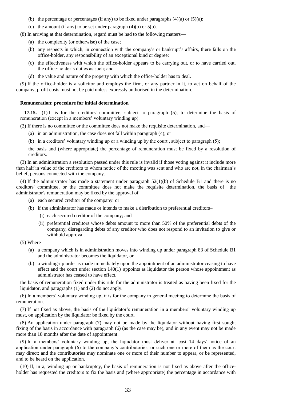- (b) the percentage or percentages (if any) to be fixed under paragraphs  $(4)(a)$  or  $(5)(a)$ ;
- (c) the amount (if any) to be set under paragraph  $(4)(b)$  or  $5(b)$ .

(8) In arriving at that determination, regard must be had to the following matters—

- (a) the complexity (or otherwise) of the case;
- (b) any respects in which, in connection with the company's or bankrupt's affairs, there falls on the office-holder, any responsibility of an exceptional kind or degree;
- (c) the effectiveness with which the office-holder appears to be carrying out, or to have carried out, the office-holder's duties as such; and
- (d) the value and nature of the property with which the office-holder has to deal.

(9) If the office-holder is a solicitor and employs the firm, or any partner in it, to act on behalf of the company, profit costs must not be paid unless expressly authorised in the determination.

#### **Remuneration: procedure for initial determination**

**17.15.**—(1) It is for the creditors' committee, subject to paragraph (5), to determine the basis of remuneration (except in a members' voluntary winding up).

(2) If there is no committee or the committee does not make the requisite determination, and—

- (a) in an administration, the case does not fall within paragraph (4); or
- (b) in a creditors' voluntary winding up or a winding up by the court , subject to paragraph (5);

the basis and (where appropriate) the percentage of remuneration must be fixed by a resolution of creditors.

(3) In an administration a resolution passed under this rule is invalid if those voting against it include more than half in value of the creditors to whom notice of the meeting was sent and who are not, in the chairman's belief, persons connected with the company.

(4) If the administrator has made a statement under paragraph 52(1)(b) of Schedule B1 and there is no creditors' committee, or the committee does not make the requisite determination, the basis of the administrator's remuneration may be fixed by the approval of—

- (a) each secured creditor of the company: or
- (b) if the administrator has made or intends to make a distribution to preferential creditors–
	- (i) each secured creditor of the company; and
	- (ii) preferential creditors whose debts amount to more than 50% of the preferential debts of the company, disregarding debts of any creditor who does not respond to an invitation to give or withhold approval.
- (5) Where—
	- (a) a company which is in administration moves into winding up under paragraph 83 of Schedule B1 and the administrator becomes the liquidator, or
	- (b) a winding-up order is made immediately upon the appointment of an administrator ceasing to have effect and the court under section 140(1)appoints as liquidator the person whose appointment as administrator has ceased to have effect,

the basis of remuneration fixed under this rule for the administrator is treated as having been fixed for the liquidator, and paragraphs (1) and (2) do not apply.

(6) In a members' voluntary winding up, it is for the company in general meeting to determine the basis of remuneration.

(7) If not fixed as above, the basis of the liquidator's remuneration in a members' voluntary winding up must, on application by the liquidator be fixed by the court.

(8) An application under paragraph (7) may not be made by the liquidator without having first sought fixing of the basis in accordance with paragraph (6) (as the case may be), and in any event may not be made more than 18 months after the date of appointment.

(9) In a members' voluntary winding up, the liquidator must deliver at least 14 days' notice of an application under paragraph (6) to the company's contributories, or such one or more of them as the court may direct; and the contributories may nominate one or more of their number to appear, or be represented, and to be heard on the application.

(10) If, in a, winding up or bankruptcy, the basis of remuneration is not fixed as above after the officeholder has requested the creditors to fix the basis and (where appropriate) the percentage in accordance with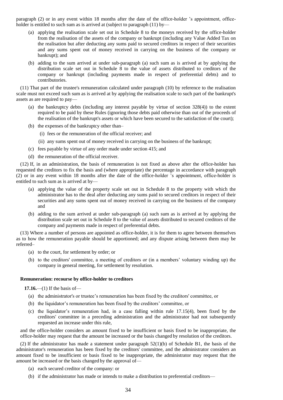paragraph (2) or in any event within 18 months after the date of the office-holder 's appointment, officeholder is entitled to such sum as is arrived at (subject to paragraph (11) by—

- (a) applying the realisation scale set out in Schedule 8 to the moneys received by the office-holder from the realisation of the assets of the company or bankrupt (including any Value Added Tax on the realisation but after deducting any sums paid to secured creditors in respect of their securities and any sums spent out of money received in carrying on the business of the company or bankrupt); and
- (b) adding to the sum arrived at under sub-paragraph (a) such sum as is arrived at by applying the distribution scale set out in Schedule 8 to the value of assets distributed to creditors of the company or bankrupt (including payments made in respect of preferential debts) and to contributories.

(11) That part of the trustee's remuneration calculated under paragraph (10) by reference to the realisation scale must not exceed such sum as is arrived at by applying the realisation scale to such part of the bankrupt's assets as are required to pay—

- (a) the bankruptcy debts (including any interest payable by virtue of section 328(4)) to the extent required to be paid by these Rules (ignoring those debts paid otherwise than out of the proceeds of the realisation of the bankrupt's assets or which have been secured to the satisfaction of the court);
- (b) the expenses of the bankruptcy other than–
	- (i) fees or the remuneration of the official receiver; and
	- (ii) any sums spent out of money received in carrying on the business of the bankrupt;
- (c) fees payable by virtue of any order made under section 415; and
- (d) the remuneration of the official receiver.

(12) If, in an administration, the basis of remuneration is not fixed as above after the office-holder has requested the creditors to fix the basis and (where appropriate) the percentage in accordance with paragraph (2) or in any event within 18 months after the date of the office-holder 's appointment, office-holder is entitled to such sum as is arrived at by—

- (a) applying the value of the property scale set out in Schedule 8 to the property with which the administrator has to the deal after deducting any sums paid to secured creditors in respect of their securities and any sums spent out of money received in carrying on the business of the company and
- (b) adding to the sum arrived at under sub-paragraph (a) such sum as is arrived at by applying the distribution scale set out in Schedule 8 to the value of assets distributed to secured creditors of the company and payments made in respect of preferential debts.

(13) Where a number of persons are appointed as office-holder, it is for them to agree between themselves as to how the remuneration payable should be apportioned; and any dispute arising between them may be referred–

- (a) to the court, for settlement by order; or
- (b) to the creditors' committee, a meeting of creditors or (in a members' voluntary winding up) the company in general meeting, for settlement by resolution.

#### **Remuneration: recourse by office-holder to creditors**

**17.16.**—(1) If the basis of—

- (a) the administrator's or trustee's remuneration has been fixed by the creditors' committee, or
- (b) the liquidator's remuneration has been fixed by the creditors' committee, or
- (c) the liquidator's remuneration had, in a case falling within rule 17.15(4), been fixed by the creditors' committee in a preceding administration and the administrator had not subsequently requested an increase under this rule,

and the office-holder considers an amount fixed to be insufficient or basis fixed to be inappropriate, the office-holder may request that the amount be increased or the basis changed by resolution of the creditors.

(2) If the administrator has made a statement under paragraph 52(1)(b) of Schedule B1, the basis of the administrator's remuneration has been fixed by the creditors' committee, and the administrator considers an amount fixed to be insufficient or basis fixed to be inappropriate, the administrator may request that the amount be increased or the basis changed by the approval of—

- (a) each secured creditor of the company: or
- (b) if the administrator has made or intends to make a distribution to preferential creditors—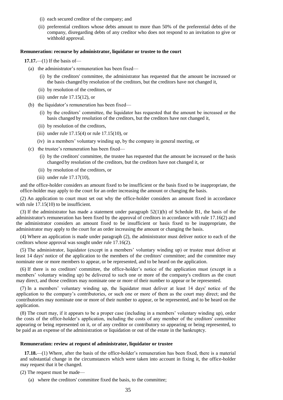- (i) each secured creditor of the company; and
- (ii) preferential creditors whose debts amount to more than 50% of the preferential debts of the company, disregarding debts of any creditor who does not respond to an invitation to give or withhold approval.

#### **Remuneration: recourse by administrator, liquidator or trustee to the court**

**17.17.**—(1) If the basis of—

- (a) the administrator's remuneration has been fixed—
	- (i) by the creditors' committee, the administrator has requested that the amount be increased or the basis changed by resolution of the creditors, but the creditors have not changed it,
	- (ii) by resolution of the creditors, or
	- (iii) under rule  $17.15(12)$ , or
- (b) the liquidator's remuneration has been fixed—
	- (i) by the creditors' committee, the liquidator has requested that the amount be increased or the basis changed by resolution of the creditors, but the creditors have not changed it,
	- (ii) by resolution of the creditors,
	- (iii) under rule  $17.15(4)$  or rule  $17.15(10)$ , or
	- (iv) in a members' voluntary winding up, by the company in general meeting, or
- (c) the trustee's remuneration has been fixed—
	- (i) by the creditors' committee, the trustee has requested that the amount be increased or the basis changed by resolution of the creditors, but the creditors have not changed it, or
	- (ii) by resolution of the creditors, or
	- (iii) under rule 17.17(10),

and the office-holder considers an amount fixed to be insufficient or the basis fixed to be inappropriate, the office-holder may apply to the court for an order increasing the amount or changing the basis.

(2) An application to court must set out why the office-holder considers an amount fixed in accordance with rule  $17.15(10)$  to be insufficient.

(3) If the administrator has made a statement under paragraph  $52(1)(b)$  of Schedule B1, the basis of the administrator's remuneration has been fixed by the approval of creditors in accordance with rule 17.16(2) and the administrator considers an amount fixed to be insufficient or basis fixed to be inappropriate, the administrator may apply to the court for an order increasing the amount or changing the basis.

(4) Where an application is made under paragraph (2), the administrator must deliver notice to each of the creditors whose approval was sought under rule 17.16(2).

(5) The administrator, liquidator (except in a members' voluntary winding up) or trustee must deliver at least 14 days' notice of the application to the members of the creditors' committee; and the committee may nominate one or more members to appear, or be represented, and to be heard on the application.

(6) If there is no creditors' committee, the office-holder's notice of the application must (except in a members' voluntary winding up) be delivered to such one or more of the company's creditors as the court may direct, and those creditors may nominate one or more of their number to appear or be represented.

(7) In a members' voluntary winding up, the liquidator must deliver at least 14 days' notice of the application to the company's contributories, or such one or more of them as the court may direct; and the contributories may nominate one or more of their number to appear, or be represented, and to be heard on the application.

(8) The court may, if it appears to be a proper case (including in a members' voluntary winding up), order the costs of the office-holder's application, including the costs of any member of the creditors' committee appearing or being represented on it, or of any creditor or contributory so appearing or being represented, to be paid as an expense of the administration or liquidation or out of the estate in the bankruptcy.

#### **Remuneration: review at request of administrator, liquidator or trustee**

**17.18.**—(1) Where, after the basis of the office-holder's remuneration has been fixed, there is a material and substantial change in the circumstances which were taken into account in fixing it, the office-holder may request that it be changed.

(2) The request must be made—

(a) where the creditors' committee fixed the basis, to the committee;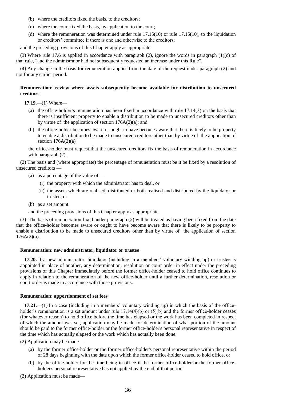- (b) where the creditors fixed the basis, to the creditors;
- (c) where the court fixed the basis, by application to the court;
- (d) where the remuneration was determined under rule 17.15(10) or rule 17.15(10), to the liquidation or creditors' committee if there is one and otherwise to the creditors;

and the preceding provisions of this Chapter apply as appropriate.

(3) Where rule 17.6 is applied in accordance with paragraph (2), ignore the words in paragraph (1)(c) of that rule, "and the administrator had not subsequently requested an increase under this Rule".

(4) Any change in the basis for remuneration applies from the date of the request under paragraph (2) and not for any earlier period.

#### **Remuneration: review where assets subsequently become available for distribution to unsecured creditors**

**17.19.**—(1) Where—

- (a) the office-holder's remuneration has been fixed in accordance with rule 17.14(3) on the basis that there is insufficient property to enable a distribution to be made to unsecured creditors other than by virtue of the application of section  $176A(2)(a)$ ; and
- (b) the office-holder becomes aware or ought to have become aware that there is likely to be property to enable a distribution to be made to unsecured creditors other than by virtue of the application of section  $176A(2)(a)$

the office-holder must request that the unsecured creditors fix the basis of remuneration in accordance with paragraph  $(2)$ .

(2) The basis and (where appropriate) the percentage of remuneration must be it be fixed by a resolution of unsecured creditors —

- (a) as a percentage of the value of—
	- (i) the property with which the administrator has to deal, or
	- (ii) the assets which are realised, distributed or both realised and distributed by the liquidator or trustee; or
- (b) as a set amount.

and the preceding provisions of this Chapter apply as appropriate.

(3) The basis of remuneration fixed under paragraph (2) will be treated as having been fixed from the date that the office-holder becomes aware or ought to have become aware that there is likely to be property to enable a distribution to be made to unsecured creditors other than by virtue of the application of section  $176A(2)(a)$ .

#### **Remuneration: new administrator, liquidator or trustee**

**17.20.** If a new administrator, liquidator (including in a members' voluntary winding up) or trustee is appointed in place of another, any determination, resolution or court order in effect under the preceding provisions of this Chapter immediately before the former office-holder ceased to hold office continues to apply in relation to the remuneration of the new office-holder until a further determination, resolution or court order is made in accordance with those provisions.

#### **Remuneration: apportionment of set fees**

**17.21.**—(1) In a case (including in a members' voluntary winding up) in which the basis of the officeholder's remuneration is a set amount under rule 17.14(4)(b) or (5)(b) and the former office-holder ceases (for whatever reason) to hold office before the time has elapsed or the work has been completed in respect of which the amount was set, application may be made for determination of what portion of the amount should be paid to the former office-holder or the former office-holder's personal representative in respect of the time which has actually elapsed or the work which has actually been done.

(2) Application may be made—

- (a) by the former office-holder or the former office-holder's personal representative within the period of 28 days beginning with the date upon which the former office-holder ceased to hold office, or
- (b) by the office-holder for the time being in office if the former office-holder or the former officeholder's personal representative has not applied by the end of that period.

(3) Application must be made—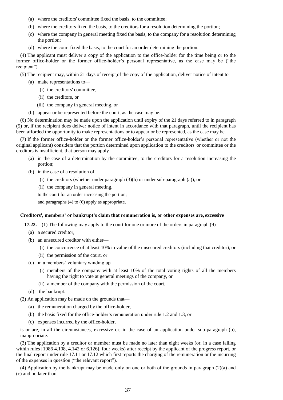- (a) where the creditors' committee fixed the basis, to the committee;
- (b) where the creditors fixed the basis, to the creditors for a resolution determining the portion;
- (c) where the company in general meeting fixed the basis, to the company for a resolution determining the portion;
- (d) where the court fixed the basis, to the court for an order determining the portion.

(4) The applicant must deliver a copy of the application to the office-holder for the time being or to the former office-holder or the former office-holder's personal representative, as the case may be ("the recipient").

(5) The recipient may, within 21 days of receipt of the copy of the application, deliver notice of intent to—

- (a) make representations to—
	- (i) the creditors' committee,
	- (ii) the creditors, or
	- (iii) the company in general meeting, or
- (b) appear or be represented before the court, as the case may be.

(6) No determination may be made upon the application until expiry of the 21 days referred to in paragraph (5) or, if the recipient does deliver notice of intent in accordance with that paragraph, until the recipient has been afforded the opportunity to make representations or to appear or be represented, as the case may be.

(7) If the former office-holder or the former office-holder's personal representative (whether or not the original applicant) considers that the portion determined upon application to the creditors' or committee or the creditors is insufficient, that person may apply—

- (a) in the case of a determination by the committee, to the creditors for a resolution increasing the portion;
- (b) in the case of a resolution of—
	- (i) the creditors (whether under paragraph  $(3)(b)$  or under sub-paragraph (a)), or
	- (ii) the company in general meeting,

to the court for an order increasing the portion;

and paragraphs (4) to (6) apply as appropriate.

#### **Creditors', members' or bankrupt's claim that remuneration is, or other expenses are, excessive**

**17.22.**—(1) The following may apply to the court for one or more of the orders in paragraph (9)—

- (a) a secured creditor,
- (b) an unsecured creditor with either—
	- (i) the concurrence of at least 10% in value of the unsecured creditors (including that creditor), or
	- (ii) the permission of the court, or
- (c) in a members' voluntary winding up—
	- (i) members of the company with at least 10% of the total voting rights of all the members having the right to vote at general meetings of the company, or
	- (ii) a member of the company with the permission of the court,
- (d) the bankrupt.
- (2) An application may be made on the grounds that—
	- (a) the remuneration charged by the office-holder,
	- (b) the basis fixed for the office-holder's remuneration under rule 1.2 and 1.3, or
	- (c) expenses incurred by the office-holder,

is or are, in all the circumstances, excessive or, in the case of an application under sub-paragraph (b), inappropriate.

(3) The application by a creditor or member must be made no later than eight weeks (or, in a case falling within rules [1986 4.108, 4.142 or 6.126], four weeks) after receipt by the applicant of the progress report, or the final report under rule 17.11 or 17.12 which first reports the charging of the remuneration or the incurring of the expenses in question ("the relevant report").

(4) Application by the bankrupt may be made only on one or both of the grounds in paragraph (2)(a) and (c) and no later than—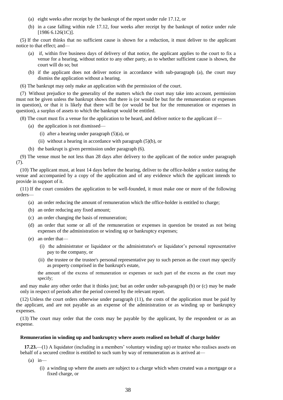- (a) eight weeks after receipt by the bankrupt of the report under rule 17.12, or
- (b) in a case falling within rule 17.12, four weeks after receipt by the bankrupt of notice under rule [1986 6.126(1C)].

(5) If the court thinks that no sufficient cause is shown for a reduction, it must deliver to the applicant notice to that effect; and—

- (a) if, within five business days of delivery of that notice, the applicant applies to the court to fix a venue for a hearing, without notice to any other party, as to whether sufficient cause is shown, the court will do so; but
- (b) if the applicant does not deliver notice in accordance with sub-paragraph (a), the court may dismiss the application without a hearing.

(6) The bankrupt may only make an application with the permission of the court.

(7) Without prejudice to the generality of the matters which the court may take into account, permission must not be given unless the bankrupt shows that there is (or would be but for the remuneration or expenses in question), or that it is likely that there will be (or would be but for the remuneration or expenses in question), a surplus of assets to which the bankrupt would be entitled.

(8) The court must fix a venue for the application to be heard, and deliver notice to the applicant if—

- (a) the application is not dismissed—
	- (i) after a hearing under paragraph (5)(a), or
	- (ii) without a hearing in accordance with paragraph (5)(b), or
- (b) the bankrupt is given permission under paragraph (6).

(9) The venue must be not less than 28 days after delivery to the applicant of the notice under paragraph (7).

(10) The applicant must, at least 14 days before the hearing, deliver to the office-holder a notice stating the venue and accompanied by a copy of the application and of any evidence which the applicant intends to provide in support of it.

(11) If the court considers the application to be well-founded, it must make one or more of the following orders—

- (a) an order reducing the amount of remuneration which the office-holder is entitled to charge;
- (b) an order reducing any fixed amount;
- (c) an order changing the basis of remuneration;
- (d) an order that some or all of the remuneration or expenses in question be treated as not being expenses of the administration or winding up or bankruptcy expenses;
- (e) an order that—
	- (i) the administrator or liquidator or the administrator's or liquidator's personal representative pay to the company, or
	- (ii) the trustee or the trustee's personal representative pay to such person as the court may specify as property comprised in the bankrupt's estate,

the amount of the excess of remuneration or expenses or such part of the excess as the court may specify;

and may make any other order that it thinks just; but an order under sub-paragraph (b) or (c) may be made only in respect of periods after the period covered by the relevant report.

(12) Unless the court orders otherwise under paragraph (11), the costs of the application must be paid by the applicant, and are not payable as an expense of the administration or as winding up or bankruptcy expenses.

(13) The court may order that the costs may be payable by the applicant, by the respondent or as an expense.

#### **Remuneration in winding up and bankruptcy where assets realised on behalf of charge holder**

**17.23.**—(1) A liquidator (including in a members' voluntary winding up) or trustee who realises assets on behalf of a secured creditor is entitled to such sum by way of remuneration as is arrived at—

- $(a)$  in—
	- (i) a winding up where the assets are subject to a charge which when created was a mortgage or a fixed charge, or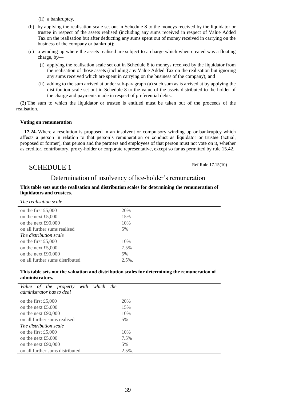(ii) a bankruptcy,

- (b) by applying the realisation scale set out in Schedule 8 to the moneys received by the liquidator or trustee in respect of the assets realised (including any sums received in respect of Value Added Tax on the realisation but after deducting any sums spent out of money received in carrying on the business of the company or bankrupt);
- (c) a winding up where the assets realised are subject to a charge which when created was a floating charge, by—
	- (i) applying the realisation scale set out in Schedule 8 to moneys received by the liquidator from the realisation of those assets (including any Value Added Tax on the realisation but ignoring any sums received which are spent in carrying on the business of the company); and
	- (ii) adding to the sum arrived at under sub-paragraph (a) such sum as is arrived at by applying the distribution scale set out in Schedule 8 to the value of the assets distributed to the holder of the charge and payments made in respect of preferential debts.

(2) The sum to which the liquidator or trustee is entitled must be taken out of the proceeds of the realisation.

#### **Voting on remuneration**

**17.24.** Where a resolution is proposed in an insolvent or compulsory winding up or bankruptcy which affects a person in relation to that person's remuneration or conduct as liquidator or trustee (actual, proposed or former), that person and the partners and employees of that person must not vote on it, whether as creditor, contributory, proxy-holder or corporate representative, except so far as permitted by rule 15.42.

# SCHEDULE 1

Ref Rule 17.15(10)

### Determination of insolvency office-holder's remuneration

| nquidators and a distess.       |           |  |
|---------------------------------|-----------|--|
| The realisation scale           |           |  |
| on the first $£5,000$           | 20%       |  |
| on the next £5,000              | 15%       |  |
| on the next £90,000             | 10%       |  |
| on all further sums realised    | 5%        |  |
| The distribution scale          |           |  |
| on the first $£5,000$           | 10%       |  |
| on the next £5,000              | 7.5%      |  |
| on the next $£90,000$           | 5%        |  |
| on all further sums distributed | $2.5\%$ . |  |

#### **This table sets out the realisation and distribution scales for determining the remuneration of liquidators and trustees.**

#### **This table sets out the valuation and distribution scales for determining the remuneration of administrators.**

| with<br>Value of the property<br>which<br>the<br>administrator has to deal |           |
|----------------------------------------------------------------------------|-----------|
| on the first $£5,000$                                                      | 20%       |
| on the next £5,000                                                         | 15%       |
| on the next $£90,000$                                                      | 10%       |
| on all further sums realised                                               | 5%        |
| The distribution scale                                                     |           |
| on the first $£5,000$                                                      | 10%       |
| on the next £5,000                                                         | 7.5%      |
| on the next $£90,000$                                                      | 5%        |
| on all further sums distributed                                            | $2.5\%$ . |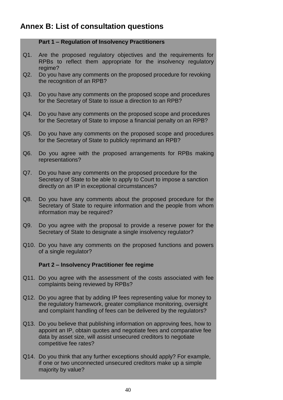# **Annex B: List of consultation questions**

### **Part 1 – Regulation of Insolvency Practitioners**

- Q1. Are the proposed regulatory objectives and the requirements for RPBs to reflect them appropriate for the insolvency regulatory regime?
- $Q2.$ Do you have any comments on the proposed procedure for revoking the recognition of an RPB?
- $Q3.$ Do you have any comments on the proposed scope and procedures for the Secretary of State to issue a direction to an RPB?
- Q4. Do you have any comments on the proposed scope and procedures for the Secretary of State to impose a financial penalty on an RPB?
- Q5. Do you have any comments on the proposed scope and procedures for the Secretary of State to publicly reprimand an RPB?
- Q6. Do you agree with the proposed arrangements for RPBs making representations?
- Q7. Do you have any comments on the proposed procedure for the Secretary of State to be able to apply to Court to impose a sanction directly on an IP in exceptional circumstances?
- Q8. Do you have any comments about the proposed procedure for the Secretary of State to require information and the people from whom information may be required?
- $Q9.$ Do you agree with the proposal to provide a reserve power for the Secretary of State to designate a single insolvency regulator?
- Q10. Do you have any comments on the proposed functions and powers of a single regulator?

# **Part 2 – Insolvency Practitioner fee regime**

- Q11. Do you agree with the assessment of the costs associated with fee complaints being reviewed by RPBs?
- Q12. Do you agree that by adding IP fees representing value for money to the regulatory framework, greater compliance monitoring, oversight and complaint handling of fees can be delivered by the regulators?
- Q13. Do you believe that publishing information on approving fees, how to appoint an IP, obtain quotes and negotiate fees and comparative fee data by asset size, will assist unsecured creditors to negotiate competitive fee rates?
- Q14. Do you think that any further exceptions should apply? For example, if one or two unconnected unsecured creditors make up a simple majority by value?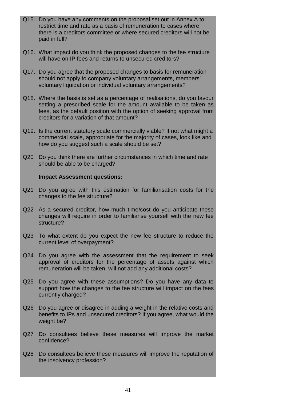- Q15. Do you have any comments on the proposal set out in Annex A to restrict time and rate as a basis of remuneration to cases where there is a creditors committee or where secured creditors will not be paid in full?
- Q16. What impact do you think the proposed changes to the fee structure will have on IP fees and returns to unsecured creditors?
- Q17. Do you agree that the proposed changes to basis for remuneration should not apply to company voluntary arrangements, members' voluntary liquidation or individual voluntary arrangements?
- Q18. Where the basis is set as a percentage of realisations, do you favour setting a prescribed scale for the amount available to be taken as fees, as the default position with the option of seeking approval from creditors for a variation of that amount?
- Q19. Is the current statutory scale commercially viable? If not what might a commercial scale, appropriate for the majority of cases, look like and how do you suggest such a scale should be set?
- Q20 Do you think there are further circumstances in which time and rate should be able to be charged?

#### **Impact Assessment questions:**

- Q21 Do you agree with this estimation for familiarisation costs for the changes to the fee structure?
- Q22 As a secured creditor, how much time/cost do you anticipate these changes will require in order to familiarise yourself with the new fee structure?
- Q23 To what extent do you expect the new fee structure to reduce the current level of overpayment?
- Q24 Do you agree with the assessment that the requirement to seek approval of creditors for the percentage of assets against which remuneration will be taken, will not add any additional costs?
- Q25 Do you agree with these assumptions? Do you have any data to support how the changes to the fee structure will impact on the fees currently charged?
- Q26 Do you agree or disagree in adding a weight in the relative costs and benefits to IPs and unsecured creditors? If you agree, what would the weight be?
- Q27 Do consultees believe these measures will improve the market confidence?
- Q28 Do consultees believe these measures will improve the reputation of the insolvency profession?